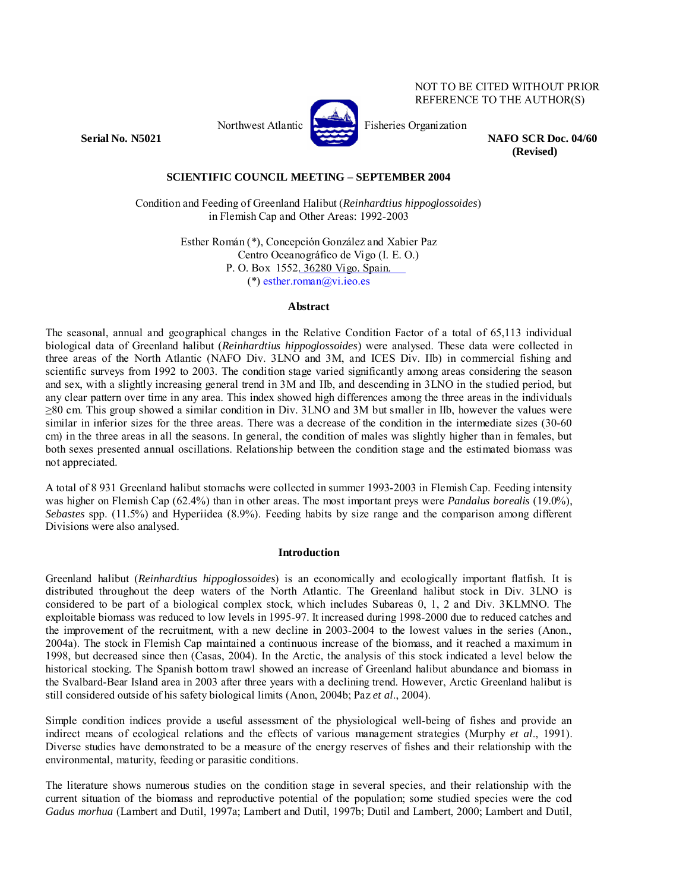Northwest Atlantic **Report Atlantic** Fisheries Organization



**Serial No. N5021 NAFO SCR Doc. 04/60 (Revised)**

NOT TO BE CITED WITHOUT PRIOR REFERENCE TO THE AUTHOR(S)

# **SCIENTIFIC COUNCIL MEETING – SEPTEMBER 2004**

Condition and Feeding of Greenland Halibut (*Reinhardtius hippoglossoides*) in Flemish Cap and Other Areas: 1992-2003

> Esther Román (\*), Concepción González and Xabier Paz Centro Oceanográfico de Vigo (I. E. O.) P. O. Box 1552. 36280 Vigo. Spain. (\*) esther.roman@vi.ieo.es

#### **Abstract**

The seasonal, annual and geographical changes in the Relative Condition Factor of a total of 65,113 individual biological data of Greenland halibut (*Reinhardtius hippoglossoides*) were analysed. These data were collected in three areas of the North Atlantic (NAFO Div. 3LNO and 3M, and ICES Div. IIb) in commercial fishing and scientific surveys from 1992 to 2003. The condition stage varied significantly among areas considering the season and sex, with a slightly increasing general trend in 3M and IIb, and descending in 3LNO in the studied period, but any clear pattern over time in any area. This index showed high differences among the three areas in the individuals ≥80 cm. This group showed a similar condition in Div. 3LNO and 3M but smaller in IIb, however the values were similar in inferior sizes for the three areas. There was a decrease of the condition in the intermediate sizes (30-60) cm) in the three areas in all the seasons. In general, the condition of males was slightly higher than in females, but both sexes presented annual oscillations. Relationship between the condition stage and the estimated biomass was not appreciated.

A total of 8 931 Greenland halibut stomachs were collected in summer 1993-2003 in Flemish Cap. Feeding intensity was higher on Flemish Cap (62.4%) than in other areas. The most important preys were *Pandalus borealis* (19.0%), *Sebastes* spp. (11.5%) and Hyperiidea (8.9%). Feeding habits by size range and the comparison among different Divisions were also analysed.

#### **Introduction**

Greenland halibut (*Reinhardtius hippoglossoides*) is an economically and ecologically important flatfish. It is distributed throughout the deep waters of the North Atlantic. The Greenland halibut stock in Div. 3LNO is considered to be part of a biological complex stock, which includes Subareas 0, 1, 2 and Div. 3KLMNO. The exploitable biomass was reduced to low levels in 1995-97. It increased during 1998-2000 due to reduced catches and the improvement of the recruitment, with a new decline in 2003-2004 to the lowest values in the series (Anon., 2004a). The stock in Flemish Cap maintained a continuous increase of the biomass, and it reached a maximum in 1998, but decreased since then (Casas, 2004). In the Arctic, the analysis of this stock indicated a level below the historical stocking. The Spanish bottom trawl showed an increase of Greenland halibut abundance and biomass in the Svalbard-Bear Island area in 2003 after three years with a declining trend. However, Arctic Greenland halibut is still considered outside of his safety biological limits (Anon, 2004b; Paz *et al*., 2004).

Simple condition indices provide a useful assessment of the physiological well-being of fishes and provide an indirect means of ecological relations and the effects of various management strategies (Murphy *et al*., 1991). Diverse studies have demonstrated to be a measure of the energy reserves of fishes and their relationship with the environmental, maturity, feeding or parasitic conditions.

The literature shows numerous studies on the condition stage in several species, and their relationship with the current situation of the biomass and reproductive potential of the population; some studied species were the cod *Gadus morhua* (Lambert and Dutil, 1997a; Lambert and Dutil, 1997b; Dutil and Lambert, 2000; Lambert and Dutil,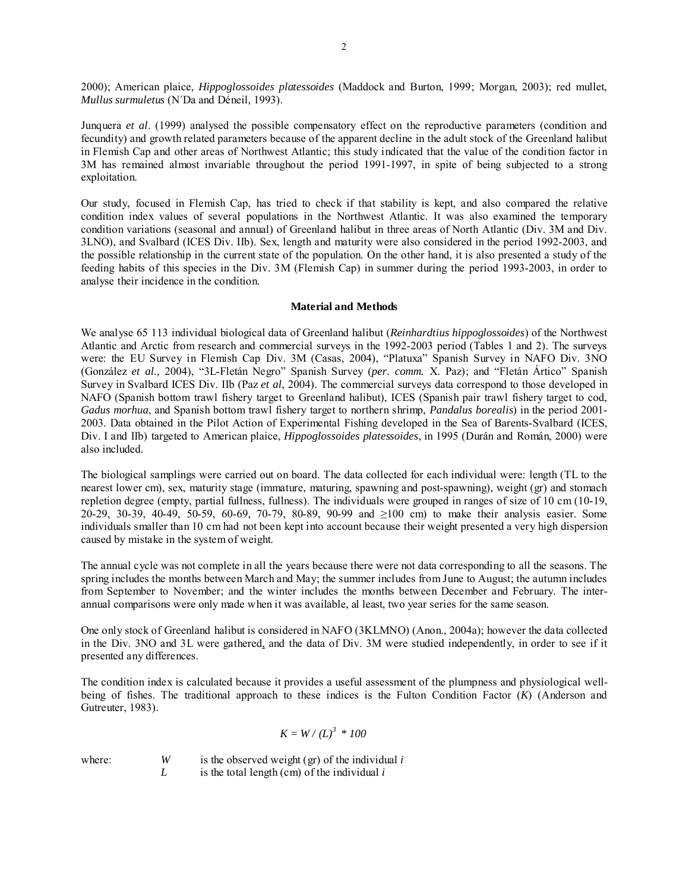2000); American plaice, *Hippoglossoides platessoides* (Maddock and Burton, 1999; Morgan, 2003); red mullet, *Mullus surmuletus* (N´Da and Déneil, 1993).

Junquera *et al*. (1999) analysed the possible compensatory effect on the reproductive parameters (condition and fecundity) and growth related parameters because of the apparent decline in the adult stock of the Greenland halibut in Flemish Cap and other areas of Northwest Atlantic; this study indicated that the value of the condition factor in 3M has remained almost invariable throughout the period 1991-1997, in spite of being subjected to a strong exploitation.

Our study, focused in Flemish Cap, has tried to check if that stability is kept, and also compared the relative condition index values of several populations in the Northwest Atlantic. It was also examined the temporary condition variations (seasonal and annual) of Greenland halibut in three areas of North Atlantic (Div. 3M and Div. 3LNO), and Svalbard (ICES Div. IIb). Sex, length and maturity were also considered in the period 1992-2003, and the possible relationship in the current state of the population. On the other hand, it is also presented a study of the feeding habits of this species in the Div. 3M (Flemish Cap) in summer during the period 1993-2003, in order to analyse their incidence in the condition.

## **Material and Methods**

We analyse 65 113 individual biological data of Greenland halibut (*Reinhardtius hippoglossoides*) of the Northwest Atlantic and Arctic from research and commercial surveys in the 1992-2003 period (Tables 1 and 2). The surveys were: the EU Survey in Flemish Cap Div. 3M (Casas, 2004), "Platuxa" Spanish Survey in NAFO Div. 3NO (González *et al.,* 2004), "3L-Fletán Negro" Spanish Survey (*per. comm.* X. Paz); and "Fletán Ártico" Spanish Survey in Svalbard ICES Div. IIb (Paz *et al*, 2004). The commercial surveys data correspond to those developed in NAFO (Spanish bottom trawl fishery target to Greenland halibut), ICES (Spanish pair trawl fishery target to cod, *Gadus morhua*, and Spanish bottom trawl fishery target to northern shrimp, *Pandalus borealis*) in the period 2001- 2003. Data obtained in the Pilot Action of Experimental Fishing developed in the Sea of Barents-Svalbard (ICES, Div. I and IIb) targeted to American plaice, *Hippoglossoides platessoides*, in 1995 (Durán and Román, 2000) were also included.

The biological samplings were carried out on board. The data collected for each individual were: length (TL to the nearest lower cm), sex, maturity stage (immature, maturing, spawning and post-spawning), weight (gr) and stomach repletion degree (empty, partial fullness, fullness). The individuals were grouped in ranges of size of 10 cm (10-19, 20-29, 30-39, 40-49, 50-59, 60-69, 70-79, 80-89, 90-99 and ≥100 cm) to make their analysis easier. Some individuals smaller than 10 cm had not been kept into account because their weight presented a very high dispersion caused by mistake in the system of weight.

The annual cycle was not complete in all the years because there were not data corresponding to all the seasons. The spring includes the months between March and May; the summer includes from June to August; the autumn includes from September to November; and the winter includes the months between December and February. The interannual comparisons were only made when it was available, al least, two year series for the same season.

One only stock of Greenland halibut is considered in NAFO (3KLMNO) (Anon., 2004a); however the data collected in the Div. 3NO and 3L were gathered, and the data of Div. 3M were studied independently, in order to see if it presented any differences.

The condition index is calculated because it provides a useful assessment of the plumpness and physiological wellbeing of fishes. The traditional approach to these indices is the Fulton Condition Factor (*K*) (Anderson and Gutreuter, 1983).

$$
K = W / (L)^3 * 100
$$

where: *W* is the observed weight (gr) of the individual *i L* is the total length (cm) of the individual *i*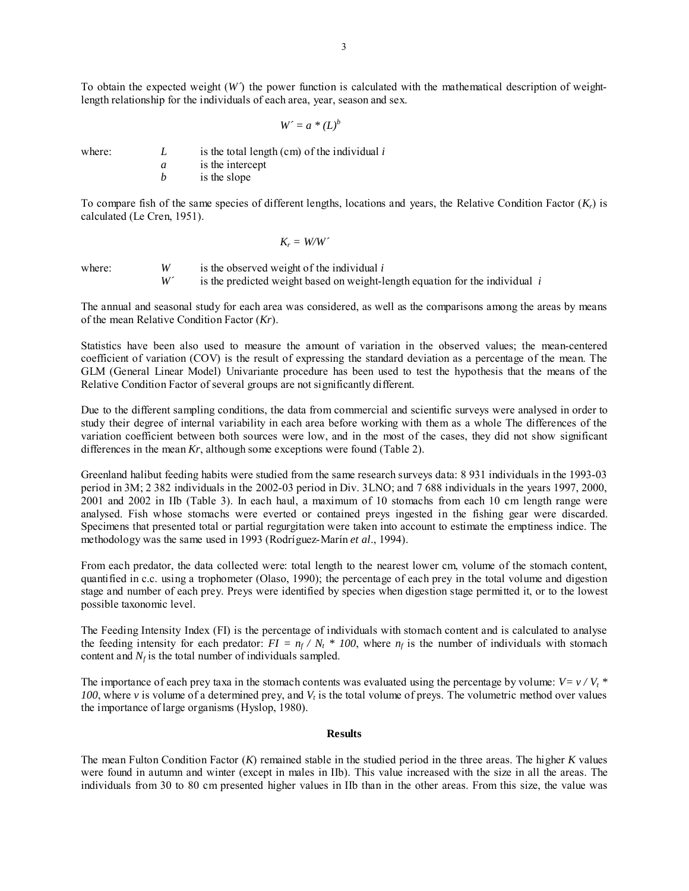To obtain the expected weight (*W´*) the power function is calculated with the mathematical description of weightlength relationship for the individuals of each area, year, season and sex.

 $W' = a * (L)^b$ 

where:  $L$  is the total length (cm) of the individual  $i$ 

 *a* is the intercept *b* is the slope

To compare fish of the same species of different lengths, locations and years, the Relative Condition Factor  $(K_r)$  is calculated (Le Cren, 1951).

$$
K_r = W\!/\!W\!'
$$

where:  $W$  is the observed weight of the individual *i*<br> $W'$  is the predicted weight based on weight-le is the predicted weight based on weight-length equation for the individual  $i$ 

The annual and seasonal study for each area was considered, as well as the comparisons among the areas by means of the mean Relative Condition Factor (*Kr*).

Statistics have been also used to measure the amount of variation in the observed values; the mean-centered coefficient of variation (COV) is the result of expressing the standard deviation as a percentage of the mean. The GLM (General Linear Model) Univariante procedure has been used to test the hypothesis that the means of the Relative Condition Factor of several groups are not significantly different.

Due to the different sampling conditions, the data from commercial and scientific surveys were analysed in order to study their degree of internal variability in each area before working with them as a whole The differences of the variation coefficient between both sources were low, and in the most of the cases, they did not show significant differences in the mean *Kr*, although some exceptions were found (Table 2).

Greenland halibut feeding habits were studied from the same research surveys data: 8 931 individuals in the 1993-03 period in 3M; 2 382 individuals in the 2002-03 period in Div. 3LNO; and 7 688 individuals in the years 1997, 2000, 2001 and 2002 in IIb (Table 3). In each haul, a maximum of 10 stomachs from each 10 cm length range were analysed. Fish whose stomachs were everted or contained preys ingested in the fishing gear were discarded. Specimens that presented total or partial regurgitation were taken into account to estimate the emptiness indice. The methodology was the same used in 1993 (Rodríguez-Marín *et al*., 1994).

From each predator, the data collected were: total length to the nearest lower cm, volume of the stomach content, quantified in c.c. using a trophometer (Olaso, 1990); the percentage of each prey in the total volume and digestion stage and number of each prey. Preys were identified by species when digestion stage permitted it, or to the lowest possible taxonomic level.

The Feeding Intensity Index (FI) is the percentage of individuals with stomach content and is calculated to analyse the feeding intensity for each predator:  $FI = n_f / N_t * 100$ , where  $n_f$  is the number of individuals with stomach content and  $N_f$  is the total number of individuals sampled.

The importance of each prey taxa in the stomach contents was evaluated using the percentage by volume:  $V = v / V_t$  \* *100*, where *v* is volume of a determined prey, and *V<sub>t</sub>* is the total volume of preys. The volumetric method over values the importance of large organisms (Hyslop, 1980).

#### **Results**

The mean Fulton Condition Factor (*K*) remained stable in the studied period in the three areas. The higher *K* values were found in autumn and winter (except in males in IIb). This value increased with the size in all the areas. The individuals from 30 to 80 cm presented higher values in IIb than in the other areas. From this size, the value was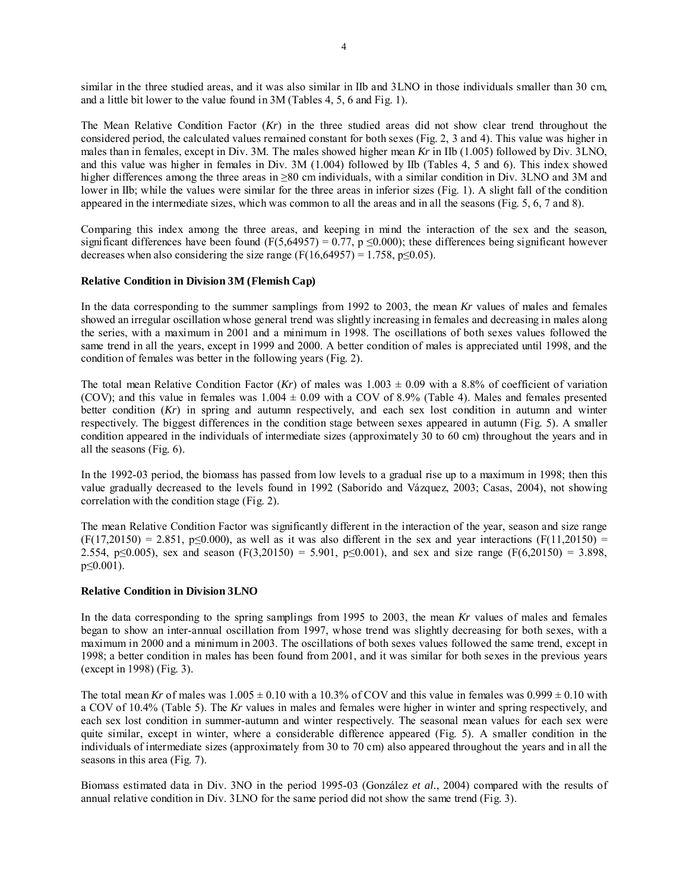similar in the three studied areas, and it was also similar in IIb and 3LNO in those individuals smaller than 30 cm, and a little bit lower to the value found in 3M (Tables 4, 5, 6 and Fig. 1).

The Mean Relative Condition Factor (*Kr*) in the three studied areas did not show clear trend throughout the considered period, the calculated values remained constant for both sexes (Fig. 2, 3 and 4). This value was higher in males than in females, except in Div. 3M. The males showed higher mean *Kr* in IIb (1.005) followed by Div. 3LNO, and this value was higher in females in Div. 3M (1.004) followed by IIb (Tables 4, 5 and 6). This index showed higher differences among the three areas in ≥80 cm individuals, with a similar condition in Div. 3LNO and 3M and lower in IIb; while the values were similar for the three areas in inferior sizes (Fig. 1). A slight fall of the condition appeared in the intermediate sizes, which was common to all the areas and in all the seasons (Fig. 5, 6, 7 and 8).

Comparing this index among the three areas, and keeping in mind the interaction of the sex and the season, significant differences have been found (F(5,64957) = 0.77, p  $\leq$ 0.000); these differences being significant however decreases when also considering the size range (F(16,64957) = 1.758, p 
solution of 0.05).

## **Relative Condition in Division 3M (Flemish Cap)**

In the data corresponding to the summer samplings from 1992 to 2003, the mean *Kr* values of males and females showed an irregular oscillation whose general trend was slightly increasing in females and decreasing in males along the series, with a maximum in 2001 and a minimum in 1998. The oscillations of both sexes values followed the same trend in all the years, except in 1999 and 2000. A better condition of males is appreciated until 1998, and the condition of females was better in the following years (Fig. 2).

The total mean Relative Condition Factor (*Kr*) of males was  $1.003 \pm 0.09$  with a 8.8% of coefficient of variation (COV); and this value in females was  $1.004 \pm 0.09$  with a COV of 8.9% (Table 4). Males and females presented better condition (*Kr*) in spring and autumn respectively, and each sex lost condition in autumn and winter respectively. The biggest differences in the condition stage between sexes appeared in autumn (Fig. 5). A smaller condition appeared in the individuals of intermediate sizes (approximately 30 to 60 cm) throughout the years and in all the seasons (Fig. 6).

In the 1992-03 period, the biomass has passed from low levels to a gradual rise up to a maximum in 1998; then this value gradually decreased to the levels found in 1992 (Saborido and Vázquez, 2003; Casas, 2004), not showing correlation with the condition stage (Fig. 2).

The mean Relative Condition Factor was significantly different in the interaction of the year, season and size range  $(F(17,20150) = 2.851, p \le 0.000)$ , as well as it was also different in the sex and year interactions  $(F(11,20150) =$ 2.554, p≤0.005), sex and season (F(3,20150) = 5.901, p≤0.001), and sex and size range (F(6,20150) = 3.898, p≤0.001).

## **Relative Condition in Division 3LNO**

In the data corresponding to the spring samplings from 1995 to 2003, the mean *Kr* values of males and females began to show an inter-annual oscillation from 1997, whose trend was slightly decreasing for both sexes, with a maximum in 2000 and a minimum in 2003. The oscillations of both sexes values followed the same trend, except in 1998; a better condition in males has been found from 2001, and it was similar for both sexes in the previous years (except in 1998) (Fig. 3).

The total mean Kr of males was  $1.005 \pm 0.10$  with a 10.3% of COV and this value in females was  $0.999 \pm 0.10$  with a COV of 10.4% (Table 5). The *Kr* values in males and females were higher in winter and spring respectively, and each sex lost condition in summer-autumn and winter respectively. The seasonal mean values for each sex were quite similar, except in winter, where a considerable difference appeared (Fig. 5). A smaller condition in the individuals of intermediate sizes (approximately from 30 to 70 cm) also appeared throughout the years and in all the seasons in this area (Fig. 7).

Biomass estimated data in Div. 3NO in the period 1995-03 (González *et al.*, 2004) compared with the results of annual relative condition in Div. 3LNO for the same period did not show the same trend (Fig. 3).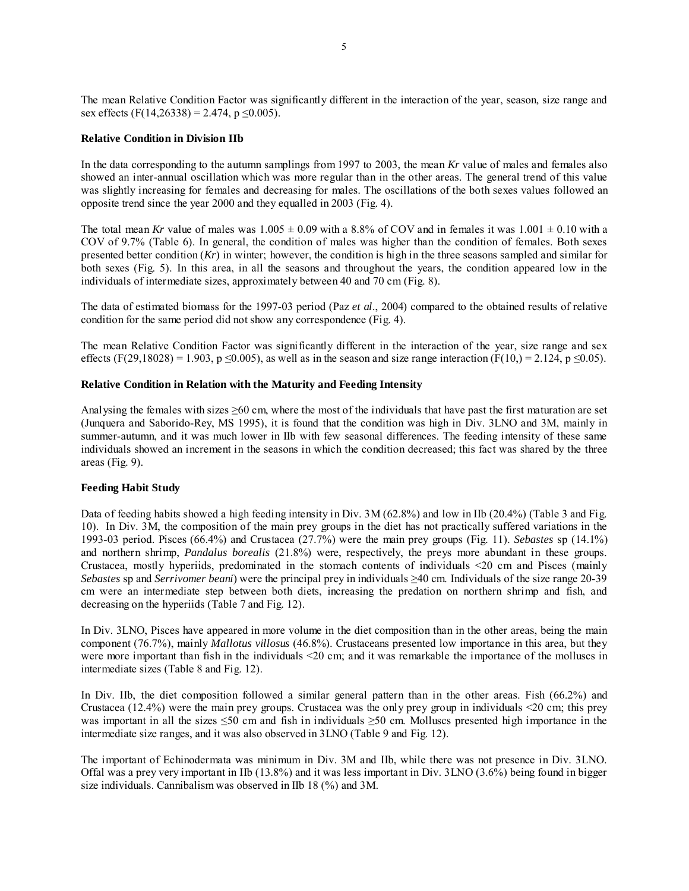The mean Relative Condition Factor was significantly different in the interaction of the year, season, size range and sex effects (F(14,26338) = 2.474, p  $\leq$ 0.005).

## **Relative Condition in Division IIb**

In the data corresponding to the autumn samplings from 1997 to 2003, the mean *Kr* value of males and females also showed an inter-annual oscillation which was more regular than in the other areas. The general trend of this value was slightly increasing for females and decreasing for males. The oscillations of the both sexes values followed an opposite trend since the year 2000 and they equalled in 2003 (Fig. 4).

The total mean *Kr* value of males was  $1.005 \pm 0.09$  with a 8.8% of COV and in females it was  $1.001 \pm 0.10$  with a COV of 9.7% (Table 6). In general, the condition of males was higher than the condition of females. Both sexes presented better condition  $(Kr)$  in winter; however, the condition is high in the three seasons sampled and similar for both sexes (Fig. 5). In this area, in all the seasons and throughout the years, the condition appeared low in the individuals of intermediate sizes, approximately between 40 and 70 cm (Fig. 8).

The data of estimated biomass for the 1997-03 period (Paz *et al*., 2004) compared to the obtained results of relative condition for the same period did not show any correspondence (Fig. 4).

The mean Relative Condition Factor was significantly different in the interaction of the year, size range and sex effects (F(29,18028) = 1.903, p  $\leq$ 0.005), as well as in the season and size range interaction (F(10,) = 2.124, p  $\leq$ 0.05).

## **Relative Condition in Relation with the Maturity and Feeding Intensity**

Analysing the females with sizes  $\geq 60$  cm, where the most of the individuals that have past the first maturation are set (Junquera and Saborido-Rey, MS 1995), it is found that the condition was high in Div. 3LNO and 3M, mainly in summer-autumn, and it was much lower in IIb with few seasonal differences. The feeding intensity of these same individuals showed an increment in the seasons in which the condition decreased; this fact was shared by the three areas (Fig. 9).

## **Feeding Habit Study**

Data of feeding habits showed a high feeding intensity in Div. 3M (62.8%) and low in IIb (20.4%) (Table 3 and Fig. 10). In Div. 3M, the composition of the main prey groups in the diet has not practically suffered variations in the 1993-03 period. Pisces (66.4%) and Crustacea (27.7%) were the main prey groups (Fig. 11). *Sebastes* sp (14.1%) and northern shrimp, *Pandalus borealis* (21.8%) were, respectively, the preys more abundant in these groups. Crustacea, mostly hyperiids, predominated in the stomach contents of individuals <20 cm and Pisces (mainly *Sebastes* sp and *Serrivomer beani*) were the principal prey in individuals ≥40 cm. Individuals of the size range 20-39 cm were an intermediate step between both diets, increasing the predation on northern shrimp and fish, and decreasing on the hyperiids (Table 7 and Fig. 12).

In Div. 3LNO, Pisces have appeared in more volume in the diet composition than in the other areas, being the main component (76.7%), mainly *Mallotus villosus* (46.8%). Crustaceans presented low importance in this area, but they were more important than fish in the individuals <20 cm; and it was remarkable the importance of the molluscs in intermediate sizes (Table 8 and Fig. 12).

In Div. IIb, the diet composition followed a similar general pattern than in the other areas. Fish (66.2%) and Crustacea (12.4%) were the main prey groups. Crustacea was the only prey group in individuals <20 cm; this prey was important in all the sizes ≤50 cm and fish in individuals ≥50 cm. Molluscs presented high importance in the intermediate size ranges, and it was also observed in 3LNO (Table 9 and Fig. 12).

The important of Echinodermata was minimum in Div. 3M and IIb, while there was not presence in Div. 3LNO. Offal was a prey very important in IIb (13.8%) and it was less important in Div. 3LNO (3.6%) being found in bigger size individuals. Cannibalism was observed in IIb 18 (%) and 3M.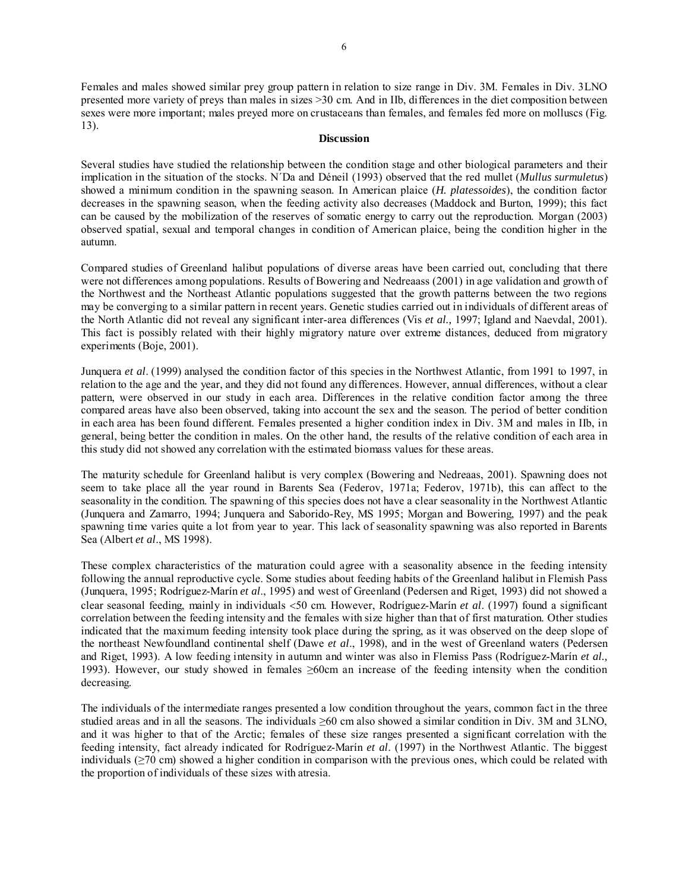Females and males showed similar prey group pattern in relation to size range in Div. 3M. Females in Div. 3LNO presented more variety of preys than males in sizes >30 cm. And in IIb, differences in the diet composition between sexes were more important; males preyed more on crustaceans than females, and females fed more on molluscs (Fig. 13).

#### **Discussion**

Several studies have studied the relationship between the condition stage and other biological parameters and their implication in the situation of the stocks. N´Da and Déneil (1993) observed that the red mullet (*Mullus surmuletus*) showed a minimum condition in the spawning season. In American plaice (*H. platessoides*), the condition factor decreases in the spawning season, when the feeding activity also decreases (Maddock and Burton, 1999); this fact can be caused by the mobilization of the reserves of somatic energy to carry out the reproduction. Morgan (2003) observed spatial, sexual and temporal changes in condition of American plaice, being the condition higher in the autumn.

Compared studies of Greenland halibut populations of diverse areas have been carried out, concluding that there were not differences among populations. Results of Bowering and Nedreaass (2001) in age validation and growth of the Northwest and the Northeast Atlantic populations suggested that the growth patterns between the two regions may be converging to a similar pattern in recent years. Genetic studies carried out in individuals of different areas of the North Atlantic did not reveal any significant inter-area differences (Vis *et al.,* 1997; Igland and Naevdal, 2001). This fact is possibly related with their highly migratory nature over extreme distances, deduced from migratory experiments (Boje, 2001).

Junquera *et al*. (1999) analysed the condition factor of this species in the Northwest Atlantic, from 1991 to 1997, in relation to the age and the year, and they did not found any differences. However, annual differences, without a clear pattern, were observed in our study in each area. Differences in the relative condition factor among the three compared areas have also been observed, taking into account the sex and the season. The period of better condition in each area has been found different. Females presented a higher condition index in Div. 3M and males in IIb, in general, being better the condition in males. On the other hand, the results of the relative condition of each area in this study did not showed any correlation with the estimated biomass values for these areas.

The maturity schedule for Greenland halibut is very complex (Bowering and Nedreaas, 2001). Spawning does not seem to take place all the year round in Barents Sea (Federov, 1971a; Federov, 1971b), this can affect to the seasonality in the condition. The spawning of this species does not have a clear seasonality in the Northwest Atlantic (Junquera and Zamarro, 1994; Junquera and Saborido-Rey, MS 1995; Morgan and Bowering, 1997) and the peak spawning time varies quite a lot from year to year. This lack of seasonality spawning was also reported in Barents Sea (Albert *et al*., MS 1998).

These complex characteristics of the maturation could agree with a seasonality absence in the feeding intensity following the annual reproductive cycle. Some studies about feeding habits of the Greenland halibut in Flemish Pass (Junquera, 1995; Rodríguez-Marín *et al*., 1995) and west of Greenland (Pedersen and Riget, 1993) did not showed a clear seasonal feeding, mainly in individuals <50 cm. However, Rodríguez-Marín *et al*. (1997) found a significant correlation between the feeding intensity and the females with size higher than that of first maturation. Other studies indicated that the maximum feeding intensity took place during the spring, as it was observed on the deep slope of the northeast Newfoundland continental shelf (Dawe *et al*., 1998), and in the west of Greenland waters (Pedersen and Riget, 1993). A low feeding intensity in autumn and winter was also in Flemiss Pass (Rodríguez-Marín *et al.,* 1993). However, our study showed in females ≥60cm an increase of the feeding intensity when the condition decreasing.

The individuals of the intermediate ranges presented a low condition throughout the years, common fact in the three studied areas and in all the seasons. The individuals ≥60 cm also showed a similar condition in Div. 3M and 3LNO, and it was higher to that of the Arctic; females of these size ranges presented a significant correlation with the feeding intensity, fact already indicated for Rodríguez-Marín *et al*. (1997) in the Northwest Atlantic. The biggest individuals (≥70 cm) showed a higher condition in comparison with the previous ones, which could be related with the proportion of individuals of these sizes with atresia.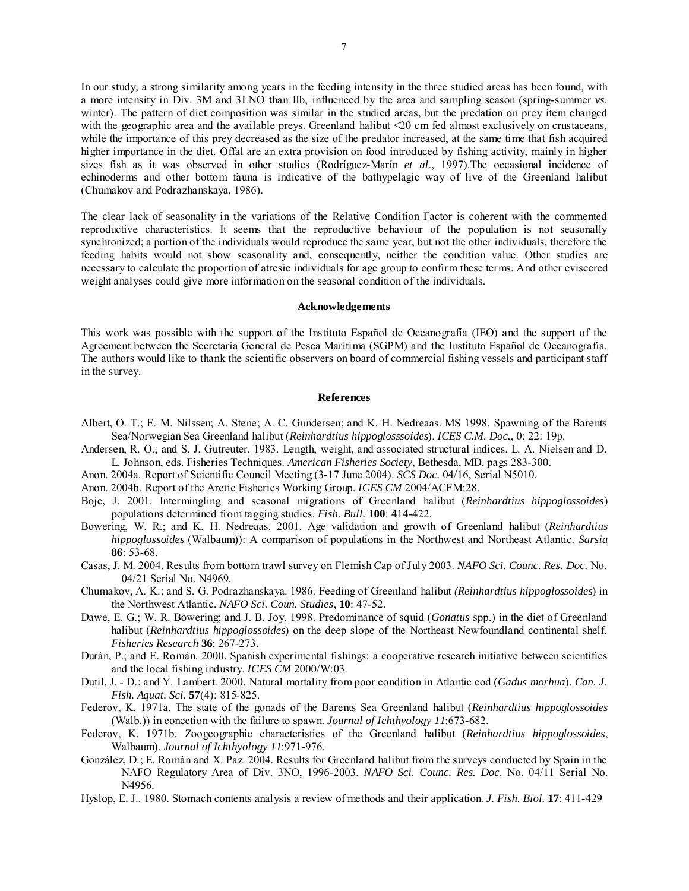In our study, a strong similarity among years in the feeding intensity in the three studied areas has been found, with a more intensity in Div. 3M and 3LNO than IIb, influenced by the area and sampling season (spring-summer *vs*. winter). The pattern of diet composition was similar in the studied areas, but the predation on prey item changed with the geographic area and the available preys. Greenland halibut <20 cm fed almost exclusively on crustaceans, while the importance of this prey decreased as the size of the predator increased, at the same time that fish acquired higher importance in the diet. Offal are an extra provision on food introduced by fishing activity, mainly in higher sizes fish as it was observed in other studies (Rodríguez-Marín *et al*., 1997).The occasional incidence of echinoderms and other bottom fauna is indicative of the bathypelagic way of live of the Greenland halibut (Chumakov and Podrazhanskaya, 1986).

The clear lack of seasonality in the variations of the Relative Condition Factor is coherent with the commented reproductive characteristics. It seems that the reproductive behaviour of the population is not seasonally synchronized; a portion of the individuals would reproduce the same year, but not the other individuals, therefore the feeding habits would not show seasonality and, consequently, neither the condition value. Other studies are necessary to calculate the proportion of atresic individuals for age group to confirm these terms. And other eviscered weight analyses could give more information on the seasonal condition of the individuals.

#### **Acknowledgements**

This work was possible with the support of the Instituto Español de Oceanografía (IEO) and the support of the Agreement between the Secretaría General de Pesca Marítima (SGPM) and the Instituto Español de Oceanografía. The authors would like to thank the scientific observers on board of commercial fishing vessels and participant staff in the survey.

#### **References**

- Albert, O. T.; E. M. Nilssen; A. Stene; A. C. Gundersen; and K. H. Nedreaas. MS 1998. Spawning of the Barents Sea/Norwegian Sea Greenland halibut (*Reinhardtius hippoglosssoides*). *ICES C.M. Doc.*, 0: 22: 19p.
- Andersen, R. O.; and S. J. Gutreuter. 1983. Length, weight, and associated structural indices. L. A. Nielsen and D. L. Johnson, eds. Fisheries Techniques. *American Fisheries Society*, Bethesda, MD, pags 283-300.
- Anon. 2004a. Report of Scientific Council Meeting (3-17 June 2004). *SCS Doc.* 04/16, Serial N5010.
- Anon. 2004b. Report of the Arctic Fisheries Working Group. *ICES CM* 2004/ACFM:28.
- Boje, J. 2001. Intermingling and seasonal migrations of Greenland halibut (*Reinhardtius hippoglossoides*) populations determined from tagging studies. *Fish. Bull.* **100**: 414-422.
- Bowering, W. R.; and K. H. Nedreaas. 2001. Age validation and growth of Greenland halibut (*Reinhardtius hippoglossoides* (Walbaum)): A comparison of populations in the Northwest and Northeast Atlantic. *Sarsia*  **86**: 53-68.
- Casas, J. M. 2004. Results from bottom trawl survey on Flemish Cap of July 2003. *NAFO Sci. Counc. Res. Doc.* No. 04/21 Serial No. N4969*.*
- Chumakov, A. K.; and S. G. Podrazhanskaya. 1986. Feeding of Greenland halibut *(Reinhardtius hippoglossoides*) in the Northwest Atlantic. *NAFO Sci. Coun. Studies*, **10**: 47-52.
- Dawe, E. G.; W. R. Bowering; and J. B. Joy. 1998. Predominance of squid (*Gonatus* spp.) in the diet of Greenland halibut (*Reinhardtius hippoglossoides*) on the deep slope of the Northeast Newfoundland continental shelf. *Fisheries Research* **36**: 267-273.
- Durán, P.; and E. Román. 2000. Spanish experimental fishings: a cooperative research initiative between scientifics and the local fishing industry. *ICES CM* 2000/W:03.
- Dutil, J. D.; and Y. Lambert. 2000. Natural mortality from poor condition in Atlantic cod (*Gadus morhua*). *Can. J. Fish. Aquat. Sci.* **57**(4): 815-825.
- Federov, K. 1971a. The state of the gonads of the Barents Sea Greenland halibut (*Reinhardtius hippoglossoides* (Walb.)) in conection with the failure to spawn. *Journal of Ichthyology 11*:673-682.
- Federov, K. 1971b. Zoogeographic characteristics of the Greenland halibut (*Reinhardtius hippoglossoides*, Walbaum). *Journal of Ichthyology 11*:971-976.
- González, D.; E. Román and X. Paz. 2004. Results for Greenland halibut from the surveys conducted by Spain in the NAFO Regulatory Area of Div. 3NO, 1996-2003. *NAFO Sci. Counc. Res. Doc*. No. 04/11 Serial No. N4956*.*
- Hyslop, E. J.. 1980. Stomach contents analysis a review of methods and their application. *J. Fish. Biol.* **17**: 411-429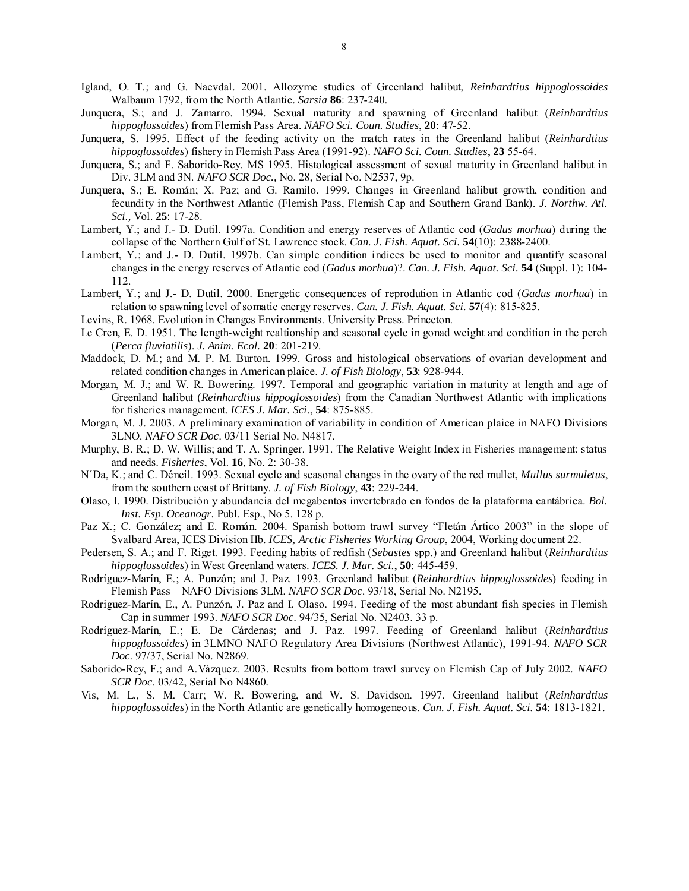- Igland, O. T.; and G. Naevdal. 2001. Allozyme studies of Greenland halibut, *Reinhardtius hippoglossoides* Walbaum 1792, from the North Atlantic. *Sarsia* **86**: 237-240.
- Junquera, S.; and J. Zamarro. 1994. Sexual maturity and spawning of Greenland halibut (*Reinhardtius hippoglossoides*) from Flemish Pass Area. *NAFO Sci. Coun. Studies*, **20**: 47-52.
- Junquera, S. 1995. Effect of the feeding activity on the match rates in the Greenland halibut (*Reinhardtius hippoglossoides*) fishery in Flemish Pass Area (1991-92). *NAFO Sci. Coun. Studies*, **23** 55-64.
- Junquera, S.; and F. Saborido-Rey. MS 1995. Histological assessment of sexual maturity in Greenland halibut in Div. 3LM and 3N. *NAFO SCR Doc.,* No. 28, Serial No. N2537, 9p.
- Junquera, S.; E. Román; X. Paz; and G. Ramilo. 1999. Changes in Greenland halibut growth, condition and fecundity in the Northwest Atlantic (Flemish Pass, Flemish Cap and Southern Grand Bank). *J. Northw. Atl. Sci.,* Vol. **25**: 17-28.
- Lambert, Y.; and J.- D. Dutil. 1997a. Condition and energy reserves of Atlantic cod (*Gadus morhua*) during the collapse of the Northern Gulf of St. Lawrence stock. *Can. J. Fish. Aquat. Sci.* **54**(10): 2388-2400.
- Lambert, Y.; and J.- D. Dutil. 1997b. Can simple condition indices be used to monitor and quantify seasonal changes in the energy reserves of Atlantic cod (*Gadus morhua*)?. *Can. J. Fish. Aquat. Sci.* **54** (Suppl. 1): 104- 112.
- Lambert, Y.; and J.- D. Dutil. 2000. Energetic consequences of reprodution in Atlantic cod (*Gadus morhua*) in relation to spawning level of somatic energy reserves. *Can. J. Fish. Aquat. Sci.* **57**(4): 815-825.
- Levins, R. 1968. Evolution in Changes Environments. University Press. Princeton.
- Le Cren, E. D. 1951. The length-weight realtionship and seasonal cycle in gonad weight and condition in the perch (*Perca fluviatilis*). *J. Anim. Ecol.* **20**: 201-219.
- Maddock, D. M.; and M. P. M. Burton. 1999. Gross and histological observations of ovarian development and related condition changes in American plaice. *J. of Fish Biology*, **53**: 928-944.
- Morgan, M. J.; and W. R. Bowering. 1997. Temporal and geographic variation in maturity at length and age of Greenland halibut (*Reinhardtius hippoglossoides*) from the Canadian Northwest Atlantic with implications for fisheries management. *ICES J. Mar. Sci*., **54**: 875-885.
- Morgan, M. J. 2003. A preliminary examination of variability in condition of American plaice in NAFO Divisions 3LNO. *NAFO SCR Doc*. 03/11 Serial No. N4817.
- Murphy, B. R.; D. W. Willis; and T. A. Springer. 1991. The Relative Weight Index in Fisheries management: status and needs. *Fisheries*, Vol. **16**, No. 2: 30-38.
- N´Da, K.; and C. Déneil. 1993. Sexual cycle and seasonal changes in the ovary of the red mullet, *Mullus surmuletus*, from the southern coast of Brittany. *J. of Fish Biology*, **43**: 229-244.
- Olaso, I. 1990. Distribución y abundancia del megabentos invertebrado en fondos de la plataforma cantábrica. *Bol. Inst. Esp. Oceanogr.* Publ. Esp., No 5. 128 p.
- Paz X.; C. González; and E. Román. 2004. Spanish bottom trawl survey "Fletán Ártico 2003" in the slope of Svalbard Area, ICES Division IIb. *ICES, Arctic Fisheries Working Group*, 2004, Working document 22.
- Pedersen, S. A.; and F. Riget. 1993. Feeding habits of redfish (*Sebastes* spp.) and Greenland halibut (*Reinhardtius hippoglossoides*) in West Greenland waters. *ICES. J. Mar. Sci.*, **50**: 445-459.
- Rodríguez-Marín, E.; A. Punzón; and J. Paz. 1993. Greenland halibut (*Reinhardtius hippoglossoides*) feeding in Flemish Pass – NAFO Divisions 3LM. *NAFO SCR Doc*. 93/18, Serial No. N2195.
- Rodriguez-Marín, E., A. Punzón, J. Paz and I. Olaso. 1994. Feeding of the most abundant fish species in Flemish Cap in summer 1993. *NAFO SCR Doc*. 94/35, Serial No. N2403. 33 p.
- Rodríguez-Marín, E.; E. De Cárdenas; and J. Paz. 1997. Feeding of Greenland halibut (*Reinhardtius hippoglossoides*) in 3LMNO NAFO Regulatory Area Divisions (Northwest Atlantic), 1991-94. *NAFO SCR Doc*. 97/37, Serial No. N2869.
- Saborido-Rey, F.; and A.Vázquez. 2003. Results from bottom trawl survey on Flemish Cap of July 2002. *NAFO SCR Doc*. 03/42, Serial No N4860*.*
- Vis, M. L., S. M. Carr; W. R. Bowering, and W. S. Davidson. 1997. Greenland halibut (*Reinhardtius hippoglossoides*) in the North Atlantic are genetically homogeneous. *Can. J. Fish. Aquat. Sci.* **54**: 1813-1821.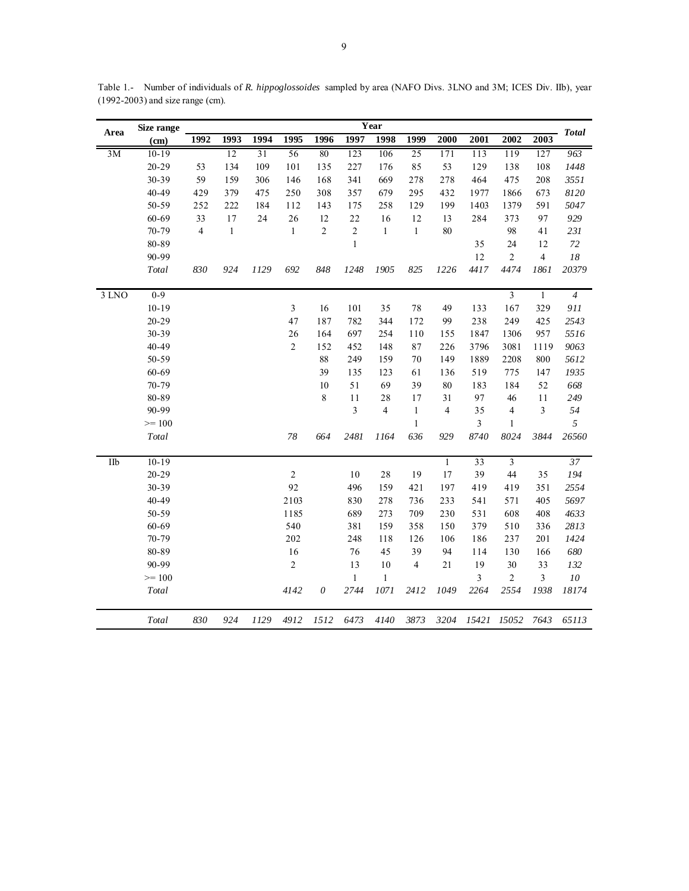| 1994<br>1997<br>2001<br>1992<br>1993<br>1995<br>1996<br>1998<br>1999<br>2000<br>2002<br>(cm)<br>12<br>31<br>56<br>123<br>25<br>3M<br>$10-19$<br>80<br>106<br>171<br>113<br>119<br>127<br>963<br>$20 - 29$<br>53<br>109<br>101<br>85<br>53<br>129<br>108<br>134<br>135<br>227<br>176<br>138<br>1448<br>30-39<br>59<br>159<br>306<br>146<br>168<br>341<br>669<br>278<br>278<br>464<br>475<br>208<br>3551<br>40-49<br>8120<br>429<br>379<br>475<br>250<br>308<br>357<br>679<br>295<br>432<br>1977<br>1866<br>673<br>50-59<br>591<br>5047<br>252<br>222<br>184<br>112<br>143<br>175<br>258<br>129<br>199<br>1403<br>1379<br>97<br>60-69<br>33<br>17<br>24<br>26<br>12<br>22<br>16<br>12<br>284<br>373<br>929<br>13<br>$\overline{4}$<br>$\sqrt{2}$<br>$\overline{2}$<br>70-79<br>$\mathbf{1}$<br>$\mathbf{1}$<br>$\mathbf{1}$<br>80<br>98<br>$\mathbf{1}$<br>41<br>231<br>$\,1$<br>12<br>80-89<br>35<br>24<br>$72\,$<br>90-99<br>12<br>$\overline{c}$<br>$\overline{4}$<br>$18\,$<br>848<br>825<br>1226<br>4417<br>4474<br>1861<br>20379<br>830<br>924<br>1129<br>692<br>1248<br>1905<br>Total<br>$0 - 9$<br>3 LNO<br>$\overline{3}$<br>$\mathbf{1}$<br>$\overline{4}$<br>$10 - 19$<br>329<br>3<br>16<br>101<br>35<br>78<br>49<br>133<br>167<br>911<br>$20 - 29$<br>47<br>187<br>782<br>344<br>172<br>238<br>249<br>425<br>2543<br>99<br>30-39<br>26<br>957<br>164<br>254<br>110<br>1847<br>1306<br>5516<br>697<br>155<br>40-49<br>$\overline{2}$<br>152<br>452<br>148<br>87<br>226<br>3796<br>3081<br>1119<br>9063<br>50-59<br>$88\,$<br>$70\,$<br>1889<br>5612<br>249<br>159<br>149<br>2208<br>800<br>$60 - 69$<br>39<br>135<br>123<br>61<br>519<br>775<br>147<br>1935<br>136<br>70-79<br>51<br>69<br>39<br>80<br>52<br>668<br>10<br>183<br>184<br>80-89<br>$\,8\,$<br>11<br>28<br>17<br>31<br>97<br>11<br>249<br>46<br>90-99<br>3<br>$\overline{4}$<br>$\mathbf{1}$<br>3<br>$\overline{4}$<br>35<br>$\overline{4}$<br>54<br>$>= 100$<br>$\,1\,$<br>$\mathfrak{Z}$<br>5<br>$\mathbf{1}$<br>8740<br>3844<br>26560<br>78<br>664<br>2481<br>1164<br>636<br>929<br>8024<br>Total<br>Ilb<br>$10 - 19$<br>37<br>$\mathbf{1}$<br>33<br>$\overline{3}$<br>$20 - 29$<br>$\overline{2}$<br>28<br>19<br>17<br>39<br>194<br>10<br>44<br>35<br>92<br>2554<br>30-39<br>496<br>159<br>421<br>351<br>197<br>419<br>419<br>40-49<br>2103<br>278<br>405<br>5697<br>830<br>736<br>233<br>541<br>571<br>50-59<br>1185<br>273<br>709<br>531<br>408<br>4633<br>689<br>230<br>608<br>540<br>379<br>60-69<br>381<br>159<br>358<br>150<br>510<br>336<br>2813<br>202<br>70-79<br>248<br>126<br>186<br>237<br>201<br>1424<br>118<br>106<br>80-89<br>16<br>39<br>76<br>45<br>94<br>114<br>130<br>166<br>680<br>90-99<br>$\overline{2}$<br>13<br>10<br>21<br>19<br>33<br>4<br>30<br>132<br>$\overline{\mathbf{3}}$<br>$>= 100$<br>$\mathbf{1}$<br>$\mathbf{1}$<br>3<br>$\overline{c}$<br>${\it 10}$<br>$\theta$<br>1071<br>2264<br>2554<br>1938<br>Total<br>4142<br>2744<br>2412<br>1049<br>18174<br>Total<br>830<br>924<br>1129<br>4912<br>1512<br>6473<br>4140<br>3873<br>3204<br>15421<br>15052<br>7643<br>65113 | Area | Size range |  |  |  | Year |  |  |      | <b>Total</b> |
|--------------------------------------------------------------------------------------------------------------------------------------------------------------------------------------------------------------------------------------------------------------------------------------------------------------------------------------------------------------------------------------------------------------------------------------------------------------------------------------------------------------------------------------------------------------------------------------------------------------------------------------------------------------------------------------------------------------------------------------------------------------------------------------------------------------------------------------------------------------------------------------------------------------------------------------------------------------------------------------------------------------------------------------------------------------------------------------------------------------------------------------------------------------------------------------------------------------------------------------------------------------------------------------------------------------------------------------------------------------------------------------------------------------------------------------------------------------------------------------------------------------------------------------------------------------------------------------------------------------------------------------------------------------------------------------------------------------------------------------------------------------------------------------------------------------------------------------------------------------------------------------------------------------------------------------------------------------------------------------------------------------------------------------------------------------------------------------------------------------------------------------------------------------------------------------------------------------------------------------------------------------------------------------------------------------------------------------------------------------------------------------------------------------------------------------------------------------------------------------------------------------------------------------------------------------------------------------------------------------------------------------------------------------------------------------------------------------------------------------------------------------------------------------------------------------------------------------------------------------------------------------------------------------------------------------------------------------------------------------------------------------------------------------------------------------------------------------|------|------------|--|--|--|------|--|--|------|--------------|
|                                                                                                                                                                                                                                                                                                                                                                                                                                                                                                                                                                                                                                                                                                                                                                                                                                                                                                                                                                                                                                                                                                                                                                                                                                                                                                                                                                                                                                                                                                                                                                                                                                                                                                                                                                                                                                                                                                                                                                                                                                                                                                                                                                                                                                                                                                                                                                                                                                                                                                                                                                                                                                                                                                                                                                                                                                                                                                                                                                                                                                                                                      |      |            |  |  |  |      |  |  | 2003 |              |
|                                                                                                                                                                                                                                                                                                                                                                                                                                                                                                                                                                                                                                                                                                                                                                                                                                                                                                                                                                                                                                                                                                                                                                                                                                                                                                                                                                                                                                                                                                                                                                                                                                                                                                                                                                                                                                                                                                                                                                                                                                                                                                                                                                                                                                                                                                                                                                                                                                                                                                                                                                                                                                                                                                                                                                                                                                                                                                                                                                                                                                                                                      |      |            |  |  |  |      |  |  |      |              |
|                                                                                                                                                                                                                                                                                                                                                                                                                                                                                                                                                                                                                                                                                                                                                                                                                                                                                                                                                                                                                                                                                                                                                                                                                                                                                                                                                                                                                                                                                                                                                                                                                                                                                                                                                                                                                                                                                                                                                                                                                                                                                                                                                                                                                                                                                                                                                                                                                                                                                                                                                                                                                                                                                                                                                                                                                                                                                                                                                                                                                                                                                      |      |            |  |  |  |      |  |  |      |              |
|                                                                                                                                                                                                                                                                                                                                                                                                                                                                                                                                                                                                                                                                                                                                                                                                                                                                                                                                                                                                                                                                                                                                                                                                                                                                                                                                                                                                                                                                                                                                                                                                                                                                                                                                                                                                                                                                                                                                                                                                                                                                                                                                                                                                                                                                                                                                                                                                                                                                                                                                                                                                                                                                                                                                                                                                                                                                                                                                                                                                                                                                                      |      |            |  |  |  |      |  |  |      |              |
|                                                                                                                                                                                                                                                                                                                                                                                                                                                                                                                                                                                                                                                                                                                                                                                                                                                                                                                                                                                                                                                                                                                                                                                                                                                                                                                                                                                                                                                                                                                                                                                                                                                                                                                                                                                                                                                                                                                                                                                                                                                                                                                                                                                                                                                                                                                                                                                                                                                                                                                                                                                                                                                                                                                                                                                                                                                                                                                                                                                                                                                                                      |      |            |  |  |  |      |  |  |      |              |
|                                                                                                                                                                                                                                                                                                                                                                                                                                                                                                                                                                                                                                                                                                                                                                                                                                                                                                                                                                                                                                                                                                                                                                                                                                                                                                                                                                                                                                                                                                                                                                                                                                                                                                                                                                                                                                                                                                                                                                                                                                                                                                                                                                                                                                                                                                                                                                                                                                                                                                                                                                                                                                                                                                                                                                                                                                                                                                                                                                                                                                                                                      |      |            |  |  |  |      |  |  |      |              |
|                                                                                                                                                                                                                                                                                                                                                                                                                                                                                                                                                                                                                                                                                                                                                                                                                                                                                                                                                                                                                                                                                                                                                                                                                                                                                                                                                                                                                                                                                                                                                                                                                                                                                                                                                                                                                                                                                                                                                                                                                                                                                                                                                                                                                                                                                                                                                                                                                                                                                                                                                                                                                                                                                                                                                                                                                                                                                                                                                                                                                                                                                      |      |            |  |  |  |      |  |  |      |              |
|                                                                                                                                                                                                                                                                                                                                                                                                                                                                                                                                                                                                                                                                                                                                                                                                                                                                                                                                                                                                                                                                                                                                                                                                                                                                                                                                                                                                                                                                                                                                                                                                                                                                                                                                                                                                                                                                                                                                                                                                                                                                                                                                                                                                                                                                                                                                                                                                                                                                                                                                                                                                                                                                                                                                                                                                                                                                                                                                                                                                                                                                                      |      |            |  |  |  |      |  |  |      |              |
|                                                                                                                                                                                                                                                                                                                                                                                                                                                                                                                                                                                                                                                                                                                                                                                                                                                                                                                                                                                                                                                                                                                                                                                                                                                                                                                                                                                                                                                                                                                                                                                                                                                                                                                                                                                                                                                                                                                                                                                                                                                                                                                                                                                                                                                                                                                                                                                                                                                                                                                                                                                                                                                                                                                                                                                                                                                                                                                                                                                                                                                                                      |      |            |  |  |  |      |  |  |      |              |
|                                                                                                                                                                                                                                                                                                                                                                                                                                                                                                                                                                                                                                                                                                                                                                                                                                                                                                                                                                                                                                                                                                                                                                                                                                                                                                                                                                                                                                                                                                                                                                                                                                                                                                                                                                                                                                                                                                                                                                                                                                                                                                                                                                                                                                                                                                                                                                                                                                                                                                                                                                                                                                                                                                                                                                                                                                                                                                                                                                                                                                                                                      |      |            |  |  |  |      |  |  |      |              |
|                                                                                                                                                                                                                                                                                                                                                                                                                                                                                                                                                                                                                                                                                                                                                                                                                                                                                                                                                                                                                                                                                                                                                                                                                                                                                                                                                                                                                                                                                                                                                                                                                                                                                                                                                                                                                                                                                                                                                                                                                                                                                                                                                                                                                                                                                                                                                                                                                                                                                                                                                                                                                                                                                                                                                                                                                                                                                                                                                                                                                                                                                      |      |            |  |  |  |      |  |  |      |              |
|                                                                                                                                                                                                                                                                                                                                                                                                                                                                                                                                                                                                                                                                                                                                                                                                                                                                                                                                                                                                                                                                                                                                                                                                                                                                                                                                                                                                                                                                                                                                                                                                                                                                                                                                                                                                                                                                                                                                                                                                                                                                                                                                                                                                                                                                                                                                                                                                                                                                                                                                                                                                                                                                                                                                                                                                                                                                                                                                                                                                                                                                                      |      |            |  |  |  |      |  |  |      |              |
|                                                                                                                                                                                                                                                                                                                                                                                                                                                                                                                                                                                                                                                                                                                                                                                                                                                                                                                                                                                                                                                                                                                                                                                                                                                                                                                                                                                                                                                                                                                                                                                                                                                                                                                                                                                                                                                                                                                                                                                                                                                                                                                                                                                                                                                                                                                                                                                                                                                                                                                                                                                                                                                                                                                                                                                                                                                                                                                                                                                                                                                                                      |      |            |  |  |  |      |  |  |      |              |
|                                                                                                                                                                                                                                                                                                                                                                                                                                                                                                                                                                                                                                                                                                                                                                                                                                                                                                                                                                                                                                                                                                                                                                                                                                                                                                                                                                                                                                                                                                                                                                                                                                                                                                                                                                                                                                                                                                                                                                                                                                                                                                                                                                                                                                                                                                                                                                                                                                                                                                                                                                                                                                                                                                                                                                                                                                                                                                                                                                                                                                                                                      |      |            |  |  |  |      |  |  |      |              |
|                                                                                                                                                                                                                                                                                                                                                                                                                                                                                                                                                                                                                                                                                                                                                                                                                                                                                                                                                                                                                                                                                                                                                                                                                                                                                                                                                                                                                                                                                                                                                                                                                                                                                                                                                                                                                                                                                                                                                                                                                                                                                                                                                                                                                                                                                                                                                                                                                                                                                                                                                                                                                                                                                                                                                                                                                                                                                                                                                                                                                                                                                      |      |            |  |  |  |      |  |  |      |              |
|                                                                                                                                                                                                                                                                                                                                                                                                                                                                                                                                                                                                                                                                                                                                                                                                                                                                                                                                                                                                                                                                                                                                                                                                                                                                                                                                                                                                                                                                                                                                                                                                                                                                                                                                                                                                                                                                                                                                                                                                                                                                                                                                                                                                                                                                                                                                                                                                                                                                                                                                                                                                                                                                                                                                                                                                                                                                                                                                                                                                                                                                                      |      |            |  |  |  |      |  |  |      |              |
|                                                                                                                                                                                                                                                                                                                                                                                                                                                                                                                                                                                                                                                                                                                                                                                                                                                                                                                                                                                                                                                                                                                                                                                                                                                                                                                                                                                                                                                                                                                                                                                                                                                                                                                                                                                                                                                                                                                                                                                                                                                                                                                                                                                                                                                                                                                                                                                                                                                                                                                                                                                                                                                                                                                                                                                                                                                                                                                                                                                                                                                                                      |      |            |  |  |  |      |  |  |      |              |
|                                                                                                                                                                                                                                                                                                                                                                                                                                                                                                                                                                                                                                                                                                                                                                                                                                                                                                                                                                                                                                                                                                                                                                                                                                                                                                                                                                                                                                                                                                                                                                                                                                                                                                                                                                                                                                                                                                                                                                                                                                                                                                                                                                                                                                                                                                                                                                                                                                                                                                                                                                                                                                                                                                                                                                                                                                                                                                                                                                                                                                                                                      |      |            |  |  |  |      |  |  |      |              |
|                                                                                                                                                                                                                                                                                                                                                                                                                                                                                                                                                                                                                                                                                                                                                                                                                                                                                                                                                                                                                                                                                                                                                                                                                                                                                                                                                                                                                                                                                                                                                                                                                                                                                                                                                                                                                                                                                                                                                                                                                                                                                                                                                                                                                                                                                                                                                                                                                                                                                                                                                                                                                                                                                                                                                                                                                                                                                                                                                                                                                                                                                      |      |            |  |  |  |      |  |  |      |              |
|                                                                                                                                                                                                                                                                                                                                                                                                                                                                                                                                                                                                                                                                                                                                                                                                                                                                                                                                                                                                                                                                                                                                                                                                                                                                                                                                                                                                                                                                                                                                                                                                                                                                                                                                                                                                                                                                                                                                                                                                                                                                                                                                                                                                                                                                                                                                                                                                                                                                                                                                                                                                                                                                                                                                                                                                                                                                                                                                                                                                                                                                                      |      |            |  |  |  |      |  |  |      |              |
|                                                                                                                                                                                                                                                                                                                                                                                                                                                                                                                                                                                                                                                                                                                                                                                                                                                                                                                                                                                                                                                                                                                                                                                                                                                                                                                                                                                                                                                                                                                                                                                                                                                                                                                                                                                                                                                                                                                                                                                                                                                                                                                                                                                                                                                                                                                                                                                                                                                                                                                                                                                                                                                                                                                                                                                                                                                                                                                                                                                                                                                                                      |      |            |  |  |  |      |  |  |      |              |
|                                                                                                                                                                                                                                                                                                                                                                                                                                                                                                                                                                                                                                                                                                                                                                                                                                                                                                                                                                                                                                                                                                                                                                                                                                                                                                                                                                                                                                                                                                                                                                                                                                                                                                                                                                                                                                                                                                                                                                                                                                                                                                                                                                                                                                                                                                                                                                                                                                                                                                                                                                                                                                                                                                                                                                                                                                                                                                                                                                                                                                                                                      |      |            |  |  |  |      |  |  |      |              |
|                                                                                                                                                                                                                                                                                                                                                                                                                                                                                                                                                                                                                                                                                                                                                                                                                                                                                                                                                                                                                                                                                                                                                                                                                                                                                                                                                                                                                                                                                                                                                                                                                                                                                                                                                                                                                                                                                                                                                                                                                                                                                                                                                                                                                                                                                                                                                                                                                                                                                                                                                                                                                                                                                                                                                                                                                                                                                                                                                                                                                                                                                      |      |            |  |  |  |      |  |  |      |              |
|                                                                                                                                                                                                                                                                                                                                                                                                                                                                                                                                                                                                                                                                                                                                                                                                                                                                                                                                                                                                                                                                                                                                                                                                                                                                                                                                                                                                                                                                                                                                                                                                                                                                                                                                                                                                                                                                                                                                                                                                                                                                                                                                                                                                                                                                                                                                                                                                                                                                                                                                                                                                                                                                                                                                                                                                                                                                                                                                                                                                                                                                                      |      |            |  |  |  |      |  |  |      |              |
|                                                                                                                                                                                                                                                                                                                                                                                                                                                                                                                                                                                                                                                                                                                                                                                                                                                                                                                                                                                                                                                                                                                                                                                                                                                                                                                                                                                                                                                                                                                                                                                                                                                                                                                                                                                                                                                                                                                                                                                                                                                                                                                                                                                                                                                                                                                                                                                                                                                                                                                                                                                                                                                                                                                                                                                                                                                                                                                                                                                                                                                                                      |      |            |  |  |  |      |  |  |      |              |
|                                                                                                                                                                                                                                                                                                                                                                                                                                                                                                                                                                                                                                                                                                                                                                                                                                                                                                                                                                                                                                                                                                                                                                                                                                                                                                                                                                                                                                                                                                                                                                                                                                                                                                                                                                                                                                                                                                                                                                                                                                                                                                                                                                                                                                                                                                                                                                                                                                                                                                                                                                                                                                                                                                                                                                                                                                                                                                                                                                                                                                                                                      |      |            |  |  |  |      |  |  |      |              |
|                                                                                                                                                                                                                                                                                                                                                                                                                                                                                                                                                                                                                                                                                                                                                                                                                                                                                                                                                                                                                                                                                                                                                                                                                                                                                                                                                                                                                                                                                                                                                                                                                                                                                                                                                                                                                                                                                                                                                                                                                                                                                                                                                                                                                                                                                                                                                                                                                                                                                                                                                                                                                                                                                                                                                                                                                                                                                                                                                                                                                                                                                      |      |            |  |  |  |      |  |  |      |              |
|                                                                                                                                                                                                                                                                                                                                                                                                                                                                                                                                                                                                                                                                                                                                                                                                                                                                                                                                                                                                                                                                                                                                                                                                                                                                                                                                                                                                                                                                                                                                                                                                                                                                                                                                                                                                                                                                                                                                                                                                                                                                                                                                                                                                                                                                                                                                                                                                                                                                                                                                                                                                                                                                                                                                                                                                                                                                                                                                                                                                                                                                                      |      |            |  |  |  |      |  |  |      |              |
|                                                                                                                                                                                                                                                                                                                                                                                                                                                                                                                                                                                                                                                                                                                                                                                                                                                                                                                                                                                                                                                                                                                                                                                                                                                                                                                                                                                                                                                                                                                                                                                                                                                                                                                                                                                                                                                                                                                                                                                                                                                                                                                                                                                                                                                                                                                                                                                                                                                                                                                                                                                                                                                                                                                                                                                                                                                                                                                                                                                                                                                                                      |      |            |  |  |  |      |  |  |      |              |
|                                                                                                                                                                                                                                                                                                                                                                                                                                                                                                                                                                                                                                                                                                                                                                                                                                                                                                                                                                                                                                                                                                                                                                                                                                                                                                                                                                                                                                                                                                                                                                                                                                                                                                                                                                                                                                                                                                                                                                                                                                                                                                                                                                                                                                                                                                                                                                                                                                                                                                                                                                                                                                                                                                                                                                                                                                                                                                                                                                                                                                                                                      |      |            |  |  |  |      |  |  |      |              |
|                                                                                                                                                                                                                                                                                                                                                                                                                                                                                                                                                                                                                                                                                                                                                                                                                                                                                                                                                                                                                                                                                                                                                                                                                                                                                                                                                                                                                                                                                                                                                                                                                                                                                                                                                                                                                                                                                                                                                                                                                                                                                                                                                                                                                                                                                                                                                                                                                                                                                                                                                                                                                                                                                                                                                                                                                                                                                                                                                                                                                                                                                      |      |            |  |  |  |      |  |  |      |              |
|                                                                                                                                                                                                                                                                                                                                                                                                                                                                                                                                                                                                                                                                                                                                                                                                                                                                                                                                                                                                                                                                                                                                                                                                                                                                                                                                                                                                                                                                                                                                                                                                                                                                                                                                                                                                                                                                                                                                                                                                                                                                                                                                                                                                                                                                                                                                                                                                                                                                                                                                                                                                                                                                                                                                                                                                                                                                                                                                                                                                                                                                                      |      |            |  |  |  |      |  |  |      |              |
|                                                                                                                                                                                                                                                                                                                                                                                                                                                                                                                                                                                                                                                                                                                                                                                                                                                                                                                                                                                                                                                                                                                                                                                                                                                                                                                                                                                                                                                                                                                                                                                                                                                                                                                                                                                                                                                                                                                                                                                                                                                                                                                                                                                                                                                                                                                                                                                                                                                                                                                                                                                                                                                                                                                                                                                                                                                                                                                                                                                                                                                                                      |      |            |  |  |  |      |  |  |      |              |
|                                                                                                                                                                                                                                                                                                                                                                                                                                                                                                                                                                                                                                                                                                                                                                                                                                                                                                                                                                                                                                                                                                                                                                                                                                                                                                                                                                                                                                                                                                                                                                                                                                                                                                                                                                                                                                                                                                                                                                                                                                                                                                                                                                                                                                                                                                                                                                                                                                                                                                                                                                                                                                                                                                                                                                                                                                                                                                                                                                                                                                                                                      |      |            |  |  |  |      |  |  |      |              |
|                                                                                                                                                                                                                                                                                                                                                                                                                                                                                                                                                                                                                                                                                                                                                                                                                                                                                                                                                                                                                                                                                                                                                                                                                                                                                                                                                                                                                                                                                                                                                                                                                                                                                                                                                                                                                                                                                                                                                                                                                                                                                                                                                                                                                                                                                                                                                                                                                                                                                                                                                                                                                                                                                                                                                                                                                                                                                                                                                                                                                                                                                      |      |            |  |  |  |      |  |  |      |              |

Table 1.- Number of individuals of *R. hippoglossoides* sampled by area (NAFO Divs. 3LNO and 3M; ICES Div. IIb), year (1992-2003) and size range (cm).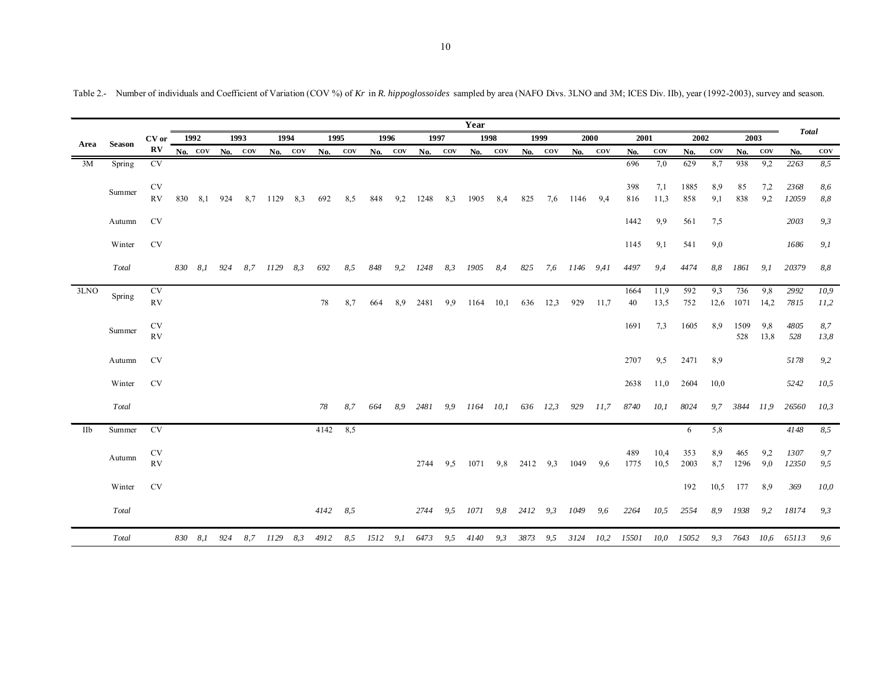|      |               |                 |      |         |     |           |          |         |      |     |      |         |      |     | Year          |      |      |                 |               |             |             |              |             |            |             |            | <b>Total</b>  |              |
|------|---------------|-----------------|------|---------|-----|-----------|----------|---------|------|-----|------|---------|------|-----|---------------|------|------|-----------------|---------------|-------------|-------------|--------------|-------------|------------|-------------|------------|---------------|--------------|
| Area | <b>Season</b> | CV or           | 1992 |         |     | 1993      | 1994     |         | 1995 |     | 1996 |         | 1997 |     | 1998          |      | 1999 |                 |               | 2000        | 2001        |              | 2002        |            | 2003        |            |               |              |
|      |               | $\bf RV$        |      | No. COV |     | $No.$ COV |          | No. COV | No.  | COV |      | No. COV | No.  | COV | No.           | COV  |      | $No. \quad cov$ | No.           | COV         | No.         | COV          | No.         | <b>COV</b> | No.         | COV        | No.           | $_{\rm cov}$ |
| 3M   | Spring        | CV              |      |         |     |           |          |         |      |     |      |         |      |     |               |      |      |                 |               |             | 696         | 7,0          | 629         | 8,7        | 938         | 9,2        | 2263          | 8,5          |
|      | Summer        | $\mathrm{CV}$   |      |         |     |           |          |         |      |     |      |         |      |     |               |      |      |                 |               |             | 398         | 7,1          | 1885        | 8,9        | 85          | 7,2        | 2368          | 8,6          |
|      |               | RV              | 830  | 8,1     | 924 | 8,7       | 1129     | 8.3     | 692  | 8,5 | 848  | 9,2     | 1248 | 8,3 | 1905          | 8,4  | 825  | 7,6             | 1146          | 9.4         | 816         | 11,3         | 858         | 9,1        | 838         | 9,2        | 12059         | 8,8          |
|      | Autumn        | <b>CV</b>       |      |         |     |           |          |         |      |     |      |         |      |     |               |      |      |                 |               |             | 1442        | 9,9          | 561         | 7,5        |             |            | 2003          | 9,3          |
|      | Winter        | <b>CV</b>       |      |         |     |           |          |         |      |     |      |         |      |     |               |      |      |                 |               |             | 1145        | 9,1          | 541         | 9,0        |             |            | 1686          | 9,1          |
|      | Total         |                 |      | 830 8,1 | 924 | 8,7       | 1129     | 8,3     | 692  | 8,5 | 848  | 9,2     | 1248 | 8,3 | 1905          | 8,4  | 825  |                 | 7,6 1146 9,41 |             | 4497        | 9,4          | 4474        | 8,8        | 1861        | 9,1        | 20379         | 8,8          |
| 3LNO | Spring        | CV              |      |         |     |           |          |         |      |     |      |         |      |     |               |      |      |                 |               |             | 1664        | 11,9         | 592         | 9.3        | 736         | 9,8        | 2992          | 10,9         |
|      |               | RV              |      |         |     |           |          |         | 78   | 8,7 | 664  | 8.9     | 2481 | 9,9 | 1164          | 10,1 | 636  | 12,3            | 929           | 11,7        | 40          | 13,5         | 752         | 12,6       | 1071        | 14,2       | 7815          | 11,2         |
|      |               | <b>CV</b>       |      |         |     |           |          |         |      |     |      |         |      |     |               |      |      |                 |               |             | 1691        | 7,3          | 1605        | 8.9        | 1509        | 9,8        | 4805          | 8,7          |
|      | Summer        | RV              |      |         |     |           |          |         |      |     |      |         |      |     |               |      |      |                 |               |             |             |              |             |            | 528         | 13,8       | 528           | 13,8         |
|      | Autumn        | <b>CV</b>       |      |         |     |           |          |         |      |     |      |         |      |     |               |      |      |                 |               |             | 2707        | 9,5          | 2471        | 8,9        |             |            | 5178          | 9,2          |
|      | Winter        | <b>CV</b>       |      |         |     |           |          |         |      |     |      |         |      |     |               |      |      |                 |               |             | 2638        | 11,0         | 2604        | 10,0       |             |            | 5242          | 10,5         |
|      | Total         |                 |      |         |     |           |          |         | 78   | 8,7 | 664  | 8.9     | 2481 |     | 9,9 1164 10,1 |      |      | 636 12,3        | 929           | <i>11,7</i> | 8740        | 10,1         | 8024        | 9,7        | 3844        | 11,9       | 26560         | 10,3         |
| IIb  | Summer        | <b>CV</b>       |      |         |     |           |          |         | 4142 | 8,5 |      |         |      |     |               |      |      |                 |               |             |             |              | 6           | 5,8        |             |            | 4148          | 8,5          |
|      |               |                 |      |         |     |           |          |         |      |     |      |         |      |     |               |      |      |                 |               |             |             |              |             |            |             |            |               |              |
|      | Autumn        | <b>CV</b><br>RV |      |         |     |           |          |         |      |     |      |         | 2744 | 9,5 | 1071          | 9,8  | 2412 | 9.3             | 1049          | 9,6         | 489<br>1775 | 10,4<br>10,5 | 353<br>2003 | 8,9<br>8,7 | 465<br>1296 | 9,2<br>9,0 | 1307<br>12350 | 9,7<br>9,5   |
|      |               |                 |      |         |     |           |          |         |      |     |      |         |      |     |               |      |      |                 |               |             |             |              |             |            |             |            |               |              |
|      | Winter        | <b>CV</b>       |      |         |     |           |          |         |      |     |      |         |      |     |               |      |      |                 |               |             |             |              | 192         | 10,5       | 177         | 8,9        | 369           | 10,0         |
|      | Total         |                 |      |         |     |           |          |         | 4142 | 8,5 |      |         | 2744 | 9,5 | 1071          | 9,8  | 2412 | 9,3             | 1049          | 9,6         | 2264        | 10,5         | 2554        | 8,9        | 1938        | 9,2        | 18174         | 9,3          |
|      | Total         |                 |      | 830 8,1 | 924 |           | 8,7 1129 | 8,3     | 4912 | 8,5 | 1512 | 9, 1    | 6473 | 9,5 | 4140          | 9,3  | 3873 | 9,5             | 3124          |             | 10,2 15501  | 10,0         | 15052       |            | 9,3 7643    |            | 10,6 65113    | 9,6          |

Table 2.- Number of individuals and Coefficient of Variation (COV %) of *Kr* in *R. hippoglossoides* sampled by area (NAFO Divs. 3LNO and 3M; ICES Div. IIb), year (1992-2003), survey and season.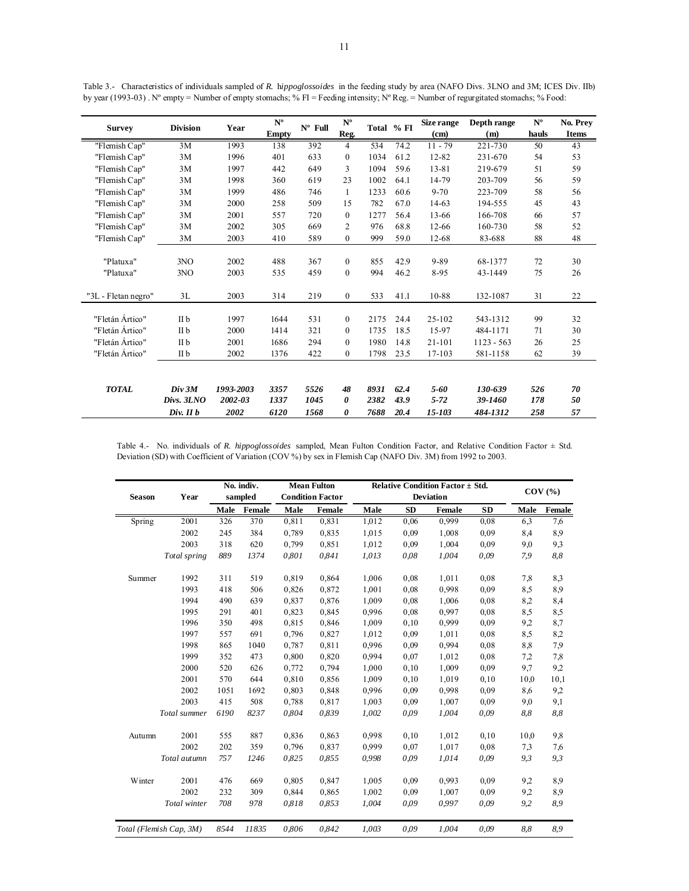|                     | <b>Division</b> |           | $N^{\rm o}$  | $N^{\rm o}$<br>$N^{\circ}$ Full |                  | Total % FI | Size range | Depth range | $N^{\rm o}$  | No. Prev |              |
|---------------------|-----------------|-----------|--------------|---------------------------------|------------------|------------|------------|-------------|--------------|----------|--------------|
| <b>Survey</b>       |                 | Year      | <b>Empty</b> |                                 | Reg.             |            |            | (cm)        | (m)          | hauls    | <b>Items</b> |
| "Flemish Cap"       | 3M              | 1993      | 138          | 392                             | 4                | 534        | 74.2       | $11 - 79$   | 221-730      | 50       | 43           |
| "Flemish Cap"       | 3M              | 1996      | 401          | 633                             | $\mathbf{0}$     | 1034       | 61.2       | 12-82       | 231-670      | 54       | 53           |
| "Flemish Cap"       | 3M              | 1997      | 442          | 649                             | 3                | 1094       | 59.6       | 13-81       | 219-679      | 51       | 59           |
| "Flemish Cap"       | 3M              | 1998      | 360          | 619                             | 23               | 1002       | 64.1       | 14-79       | 203-709      | 56       | 59           |
| "Flemish Cap"       | 3M              | 1999      | 486          | 746                             | 1                | 1233       | 60.6       | $9 - 70$    | 223-709      | 58       | 56           |
| "Flemish Cap"       | 3M              | 2000      | 258          | 509                             | 15               | 782        | 67.0       | 14-63       | 194-555      | 45       | 43           |
| "Flemish Cap"       | 3M              | 2001      | 557          | 720                             | $\mathbf{0}$     | 1277       | 56.4       | 13-66       | 166-708      | 66       | 57           |
| "Flemish Cap"       | 3M              | 2002      | 305          | 669                             | 2                | 976        | 68.8       | 12-66       | 160-730      | 58       | 52           |
| "Flemish Cap"       | 3M              | 2003      | 410          | 589                             | $\boldsymbol{0}$ | 999        | 59.0       | 12-68       | 83-688       | 88       | 48           |
|                     |                 |           |              |                                 |                  |            |            |             |              |          |              |
| "Platuxa"           | 3NO             | 2002      | 488          | 367                             | $\mathbf{0}$     | 855        | 42.9       | 9-89        | 68-1377      | 72       | 30           |
| "Platuxa"           | 3NO             | 2003      | 535          | 459                             | $\mathbf{0}$     | 994        | 46.2       | 8-95        | 43-1449      | 75       | 26           |
|                     |                 |           |              |                                 |                  |            |            |             |              |          |              |
| "3L - Fletan negro" | 3L              | 2003      | 314          | 219                             | $\mathbf{0}$     | 533        | 41.1       | 10-88       | 132-1087     | 31       | 22           |
|                     |                 |           |              |                                 |                  |            |            |             |              |          |              |
| "Fletán Ártico"     | II b            | 1997      | 1644         | 531                             | $\mathbf{0}$     | 2175       | 24.4       | 25-102      | 543-1312     | 99       | 32           |
| "Fletán Ártico"     | II b            | 2000      | 1414         | 321                             | $\mathbf{0}$     | 1735       | 18.5       | 15-97       | 484-1171     | 71       | 30           |
| "Fletán Ártico"     | II b            | 2001      | 1686         | 294                             | $\mathbf{0}$     | 1980       | 14.8       | 21-101      | $1123 - 563$ | 26       | 25           |
| "Fletán Ártico"     | II b            | 2002      | 1376         | 422                             | $\mathbf{0}$     | 1798       | 23.5       | 17-103      | 581-1158     | 62       | 39           |
|                     |                 |           |              |                                 |                  |            |            |             |              |          |              |
| <b>TOTAL</b>        | Div 3M          | 1993-2003 | 3357         | 5526                            | 48               | 8931       | 62.4       | 5-60        | 130-639      | 526      | 70           |
|                     | Divs. 3LNO      | 2002-03   | 1337         | 1045                            | 0                | 2382       | 43.9       | $5 - 72$    | 39-1460      | 178      | 50           |
|                     | $Div.$ II $b$   | 2002      | 6120         | 1568                            | 0                | 7688       | 20.4       | 15-103      | 484-1312     | 258      | 57           |

Table 3.- Characteristics of individuals sampled of *R.* h*ippoglossoides* in the feeding study by area (NAFO Divs. 3LNO and 3M; ICES Div. IIb) by year (1993-03). N° empty = Number of empty stomachs; % FI = Feeding intensity; N° Reg. = Number of regurgitated stomachs; % Food:

Table 4.- No. individuals of *R. hippoglossoides* sampled, Mean Fulton Condition Factor, and Relative Condition Factor ± Std. Deviation (SD) with Coefficient of Variation (COV %) by sex in Flemish Cap (NAFO Div. 3M) from 1992 to 2003.

| <b>Season</b> | Year                    | No. indiv.<br>sampled |        |       | <b>Mean Fulton</b><br><b>Condition Factor</b> |       | <b>Relative Condition Factor <math>\pm</math> Std.</b><br><b>Deviation</b> |        | $COV$ $(\% )$ |      |        |
|---------------|-------------------------|-----------------------|--------|-------|-----------------------------------------------|-------|----------------------------------------------------------------------------|--------|---------------|------|--------|
|               |                         | Male                  | Female | Male  | Female                                        | Male  | <b>SD</b>                                                                  | Female | <b>SD</b>     | Male | Female |
| Spring        | 2001                    | 326                   | 370    | 0,811 | 0,831                                         | 1,012 | 0.06                                                                       | 0,999  | 0.08          | 6,3  | 7,6    |
|               | 2002                    | 245                   | 384    | 0,789 | 0,835                                         | 1,015 | 0.09                                                                       | 1,008  | 0,09          | 8,4  | 8,9    |
|               | 2003                    | 318                   | 620    | 0,799 | 0,851                                         | 1,012 | 0.09                                                                       | 1,004  | 0,09          | 9,0  | 9.3    |
|               | Total spring            | 889                   | 1374   | 0,801 | 0,841                                         | 1,013 | 0.08                                                                       | 1,004  | 0,09          | 7,9  | 8,8    |
| Summer        | 1992                    | 311                   | 519    | 0,819 | 0,864                                         | 1,006 | 0.08                                                                       | 1,011  | 0.08          | 7.8  | 8,3    |
|               | 1993                    | 418                   | 506    | 0,826 | 0,872                                         | 1,001 | 0.08                                                                       | 0,998  | 0.09          | 8.5  | 8,9    |
|               | 1994                    | 490                   | 639    | 0,837 | 0,876                                         | 1,009 | 0.08                                                                       | 1,006  | 0.08          | 8.2  | 8,4    |
|               | 1995                    | 291                   | 401    | 0,823 | 0,845                                         | 0.996 | 0.08                                                                       | 0,997  | 0.08          | 8,5  | 8,5    |
|               | 1996                    | 350                   | 498    | 0,815 | 0,846                                         | 1,009 | 0.10                                                                       | 0.999  | 0,09          | 9,2  | 8,7    |
|               | 1997                    | 557                   | 691    | 0,796 | 0,827                                         | 1,012 | 0.09                                                                       | 1,011  | 0.08          | 8.5  | 8,2    |
|               | 1998                    | 865                   | 1040   | 0,787 | 0,811                                         | 0.996 | 0.09                                                                       | 0,994  | 0,08          | 8,8  | 7,9    |
|               | 1999                    | 352                   | 473    | 0,800 | 0,820                                         | 0.994 | 0.07                                                                       | 1.012  | 0.08          | 7,2  | 7,8    |
|               | 2000                    | 520                   | 626    | 0,772 | 0,794                                         | 1.000 | 0.10                                                                       | 1.009  | 0,09          | 9.7  | 9,2    |
|               | 2001                    | 570                   | 644    | 0,810 | 0,856                                         | 1,009 | 0,10                                                                       | 1,019  | 0,10          | 10,0 | 10,1   |
|               | 2002                    | 1051                  | 1692   | 0,803 | 0,848                                         | 0.996 | 0.09                                                                       | 0,998  | 0.09          | 8,6  | 9,2    |
|               | 2003                    | 415                   | 508    | 0,788 | 0,817                                         | 1,003 | 0.09                                                                       | 1,007  | 0.09          | 9,0  | 9,1    |
|               | Total summer            | 6190                  | 8237   | 0,804 | 0,839                                         | 1,002 | 0.09                                                                       | 1,004  | 0,09          | 8,8  | 8,8    |
| Autumn        | 2001                    | 555                   | 887    | 0,836 | 0,863                                         | 0.998 | 0,10                                                                       | 1,012  | 0,10          | 10,0 | 9,8    |
|               | 2002                    | 202                   | 359    | 0,796 | 0,837                                         | 0.999 | 0.07                                                                       | 1,017  | 0.08          | 7.3  | 7,6    |
|               | Total autumn            | 757                   | 1246   | 0,825 | 0,855                                         | 0,998 | 0.09                                                                       | 1,014  | 0,09          | 9,3  | 9,3    |
| Winter        | 2001                    | 476                   | 669    | 0,805 | 0,847                                         | 1,005 | 0.09                                                                       | 0,993  | 0.09          | 9.2  | 8,9    |
|               | 2002                    | 232                   | 309    | 0,844 | 0,865                                         | 1,002 | 0.09                                                                       | 1,007  | 0,09          | 9.2  | 8,9    |
|               | Total winter            | 708                   | 978    | 0,818 | 0,853                                         | 1,004 | 0.09                                                                       | 0.997  | 0,09          | 9,2  | 8,9    |
|               | Total (Flemish Cap, 3M) | 8544                  | 11835  | 0,806 | 0,842                                         | 1.003 | 0,09                                                                       | 1.004  | 0,09          | 8,8  | 8,9    |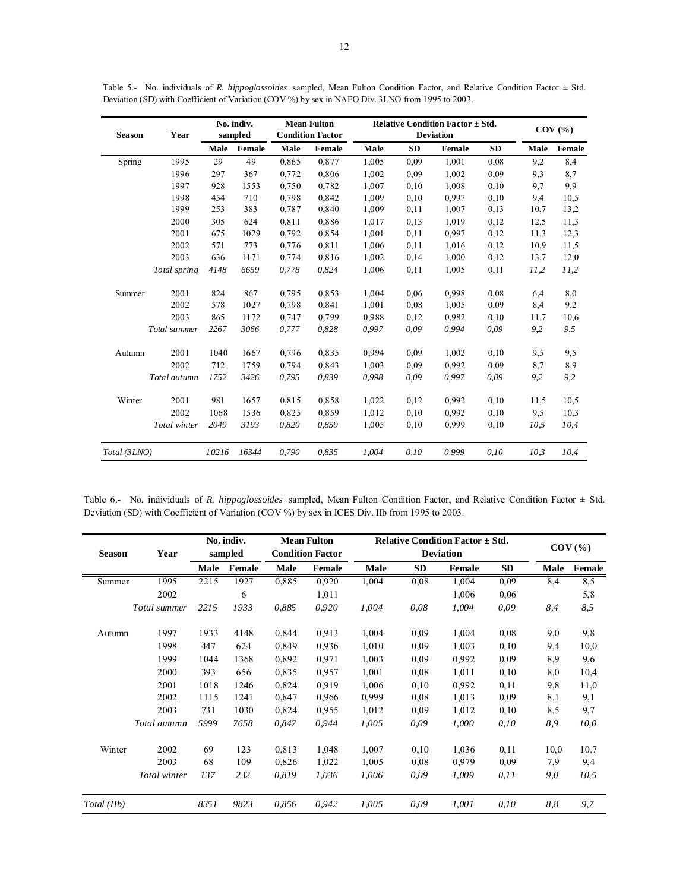| <b>Season</b> | Year         | No. indiv.<br>sampled |        | <b>Mean Fulton</b><br><b>Condition Factor</b> |        |       | Relative Condition Factor $\pm$ Std.<br><b>Deviation</b> |        | $COV$ $(\% )$ |      |        |
|---------------|--------------|-----------------------|--------|-----------------------------------------------|--------|-------|----------------------------------------------------------|--------|---------------|------|--------|
|               |              | Male                  | Female | Male                                          | Female | Male  | <b>SD</b>                                                | Female | <b>SD</b>     | Male | Female |
| Spring        | 1995         | 29                    | 49     | 0,865                                         | 0,877  | 1,005 | 0.09                                                     | 1,001  | 0,08          | 9,2  | 8,4    |
|               | 1996         | 297                   | 367    | 0,772                                         | 0,806  | 1,002 | 0.09                                                     | 1,002  | 0.09          | 9.3  | 8.7    |
|               | 1997         | 928                   | 1553   | 0,750                                         | 0,782  | 1,007 | 0,10                                                     | 1,008  | 0,10          | 9,7  | 9.9    |
|               | 1998         | 454                   | 710    | 0,798                                         | 0,842  | 1,009 | 0,10                                                     | 0,997  | 0,10          | 9.4  | 10,5   |
|               | 1999         | 253                   | 383    | 0,787                                         | 0,840  | 1,009 | 0,11                                                     | 1,007  | 0,13          | 10.7 | 13,2   |
|               | 2000         | 305                   | 624    | 0.811                                         | 0,886  | 1,017 | 0,13                                                     | 1,019  | 0,12          | 12,5 | 11,3   |
|               | 2001         | 675                   | 1029   | 0,792                                         | 0,854  | 1,001 | 0,11                                                     | 0.997  | 0,12          | 11,3 | 12,3   |
|               | 2002         | 571                   | 773    | 0,776                                         | 0.811  | 1,006 | 0,11                                                     | 1,016  | 0,12          | 10.9 | 11,5   |
|               | 2003         | 636                   | 1171   | 0,774                                         | 0,816  | 1,002 | 0,14                                                     | 1,000  | 0,12          | 13,7 | 12,0   |
|               | Total spring | 4148                  | 6659   | 0,778                                         | 0,824  | 1,006 | 0.11                                                     | 1,005  | 0.11          | 11,2 | 11,2   |
| Summer        | 2001         | 824                   | 867    | 0,795                                         | 0,853  | 1,004 | 0,06                                                     | 0.998  | 0.08          | 6,4  | 8.0    |
|               | 2002         | 578                   | 1027   | 0,798                                         | 0,841  | 1,001 | 0.08                                                     | 1,005  | 0.09          | 8,4  | 9,2    |
|               | 2003         | 865                   | 1172   | 0,747                                         | 0,799  | 0.988 | 0,12                                                     | 0.982  | 0,10          | 11,7 | 10,6   |
|               | Total summer | 2267                  | 3066   | 0,777                                         | 0,828  | 0.997 | 0.09                                                     | 0.994  | 0,09          | 9,2  | 9,5    |
| Autumn        | 2001         | 1040                  | 1667   | 0,796                                         | 0,835  | 0.994 | 0.09                                                     | 1,002  | 0,10          | 9,5  | 9,5    |
|               | 2002         | 712                   | 1759   | 0.794                                         | 0,843  | 1.003 | 0.09                                                     | 0.992  | 0.09          | 8,7  | 8,9    |
|               | Total autumn | 1752                  | 3426   | 0,795                                         | 0.839  | 0.998 | 0.09                                                     | 0.997  | 0.09          | 9,2  | 9,2    |
| Winter        | 2001         | 981                   | 1657   | 0,815                                         | 0,858  | 1,022 | 0,12                                                     | 0,992  | 0,10          | 11,5 | 10,5   |
|               | 2002         | 1068                  | 1536   | 0,825                                         | 0,859  | 1.012 | 0,10                                                     | 0.992  | 0,10          | 9,5  | 10,3   |
|               | Total winter | 2049                  | 3193   | 0,820                                         | 0,859  | 1,005 | 0,10                                                     | 0,999  | 0,10          | 10,5 | 10,4   |
| Total (3LNO)  |              | 10216                 | 16344  | 0,790                                         | 0,835  | 1.004 | 0,10                                                     | 0,999  | 0,10          | 10,3 | 10,4   |

Table 5.- No. individuals of *R. hippoglossoides* sampled, Mean Fulton Condition Factor, and Relative Condition Factor ± Std. Deviation (SD) with Coefficient of Variation (COV %) by sex in NAFO Div. 3LNO from 1995 to 2003.

Table 6.- No. individuals of *R. hippoglossoides* sampled, Mean Fulton Condition Factor, and Relative Condition Factor ± Std. Deviation (SD) with Coefficient of Variation (COV %) by sex in ICES Div. IIb from 1995 to 2003.

|               |              | No. indiv.<br>sampled |        | <b>Mean Fulton</b> |                         |       | Relative Condition Factor $\pm$ Std. |                  | $COV$ $\left(\frac{9}{6}\right)$ |      |        |
|---------------|--------------|-----------------------|--------|--------------------|-------------------------|-------|--------------------------------------|------------------|----------------------------------|------|--------|
| <b>Season</b> | Year         |                       |        |                    | <b>Condition Factor</b> |       |                                      | <b>Deviation</b> |                                  |      |        |
|               |              | Male                  | Female | Male               | <b>Female</b>           | Male  | SD                                   | Female           | <b>SD</b>                        | Male | Female |
| Summer        | 1995         | 2215                  | 1927   | 0,885              | 0,920                   | 1,004 | 0,08                                 | 1,004            | 0.09                             | 8,4  | 8,5    |
|               | 2002         |                       | 6      |                    | 1,011                   |       |                                      | 1,006            | 0,06                             |      | 5,8    |
|               | Total summer | 2215                  | 1933   | 0,885              | 0,920                   | 1,004 | 0,08                                 | 1,004            | 0,09                             | 8,4  | 8,5    |
| Autumn        | 1997         | 1933                  | 4148   | 0,844              | 0,913                   | 1,004 | 0.09                                 | 1,004            | 0,08                             | 9,0  | 9,8    |
|               | 1998         | 447                   | 624    | 0,849              | 0,936                   | 1,010 | 0.09                                 | 1,003            | 0, 10                            | 9,4  | 10,0   |
|               | 1999         | 1044                  | 1368   | 0,892              | 0,971                   | 1,003 | 0.09                                 | 0.992            | 0,09                             | 8,9  | 9,6    |
|               | 2000         | 393                   | 656    | 0,835              | 0,957                   | 1,001 | 0,08                                 | 1,011            | 0, 10                            | 8,0  | 10,4   |
|               | 2001         | 1018                  | 1246   | 0,824              | 0.919                   | 1,006 | 0,10                                 | 0.992            | 0,11                             | 9,8  | 11,0   |
|               | 2002         | 1115                  | 1241   | 0,847              | 0,966                   | 0,999 | 0,08                                 | 1,013            | 0,09                             | 8,1  | 9,1    |
|               | 2003         | 731                   | 1030   | 0,824              | 0.955                   | 1,012 | 0.09                                 | 1,012            | 0,10                             | 8,5  | 9,7    |
|               | Total autumn | 5999                  | 7658   | 0,847              | 0,944                   | 1,005 | 0,09                                 | 1,000            | 0,10                             | 8,9  | 10,0   |
| Winter        | 2002         | 69                    | 123    | 0,813              | 1,048                   | 1,007 | 0,10                                 | 1,036            | 0,11                             | 10,0 | 10,7   |
|               | 2003         | 68                    | 109    | 0,826              | 1,022                   | 1,005 | 0.08                                 | 0.979            | 0,09                             | 7,9  | 9,4    |
|               | Total winter | 137                   | 232    | 0,819              | 1,036                   | 1,006 | 0,09                                 | 1,009            | 0.11                             | 9,0  | 10,5   |
| Total (IIb)   |              | 8351                  | 9823   | 0,856              | 0,942                   | 1,005 | 0,09                                 | 1,001            | 0,10                             | 8,8  | 9,7    |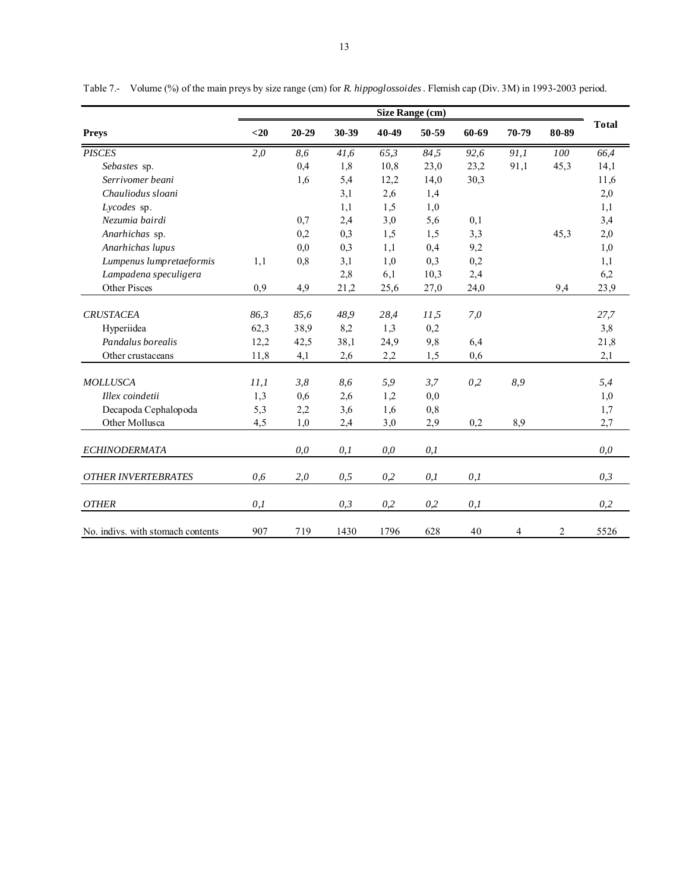|                                   | Size Range (cm) |           |       |       |       |       |       |       |              |  |  |
|-----------------------------------|-----------------|-----------|-------|-------|-------|-------|-------|-------|--------------|--|--|
| <b>Preys</b>                      | $20$            | $20 - 29$ | 30-39 | 40-49 | 50-59 | 60-69 | 70-79 | 80-89 | <b>Total</b> |  |  |
| <b>PISCES</b>                     | 2,0             | 8,6       | 41,6  | 65,3  | 84,5  | 92,6  | 91,1  | 100   | 66,4         |  |  |
| Sebastes sp.                      |                 | 0,4       | 1,8   | 10,8  | 23,0  | 23,2  | 91,1  | 45,3  | 14,1         |  |  |
| Serrivomer beani                  |                 | 1,6       | 5,4   | 12,2  | 14,0  | 30,3  |       |       | 11,6         |  |  |
| Chauliodus sloani                 |                 |           | 3,1   | 2,6   | 1,4   |       |       |       | 2,0          |  |  |
| Lycodes sp.                       |                 |           | 1,1   | 1,5   | 1,0   |       |       |       | 1,1          |  |  |
| Nezumia bairdi                    |                 | 0,7       | 2,4   | 3,0   | 5,6   | 0,1   |       |       | 3,4          |  |  |
| Anarhichas sp.                    |                 | 0,2       | 0,3   | 1,5   | 1,5   | 3,3   |       | 45,3  | 2,0          |  |  |
| Anarhichas lupus                  |                 | 0,0       | 0,3   | 1,1   | 0,4   | 9,2   |       |       | 1,0          |  |  |
| Lumpenus lumpretaeformis          | 1,1             | 0,8       | 3,1   | 1,0   | 0,3   | 0,2   |       |       | 1,1          |  |  |
| Lampadena speculigera             |                 |           | 2,8   | 6,1   | 10,3  | 2,4   |       |       | 6,2          |  |  |
| <b>Other Pisces</b>               | 0,9             | 4,9       | 21,2  | 25,6  | 27,0  | 24,0  |       | 9,4   | 23,9         |  |  |
| <b>CRUSTACEA</b>                  | 86,3            | 85,6      | 48,9  | 28,4  | 11.5  | 7,0   |       |       | 27,7         |  |  |
| Hyperiidea                        | 62,3            | 38,9      | 8,2   | 1,3   | 0,2   |       |       |       | 3,8          |  |  |
| Pandalus borealis                 | 12,2            | 42,5      | 38,1  | 24,9  | 9,8   | 6,4   |       |       | 21,8         |  |  |
| Other crustaceans                 | 11,8            | 4,1       | 2,6   | 2,2   | 1.5   | 0,6   |       |       | 2,1          |  |  |
| <b>MOLLUSCA</b>                   | 11,1            | 3,8       | 8,6   | 5,9   | 3,7   | 0,2   | 8,9   |       | 5,4          |  |  |
| Illex coindetii                   | 1,3             | 0,6       | 2,6   | 1,2   | 0,0   |       |       |       | 1,0          |  |  |
| Decapoda Cephalopoda              | 5,3             | 2,2       | 3,6   | 1,6   | 0,8   |       |       |       | 1,7          |  |  |
| Other Mollusca                    | 4,5             | 1,0       | 2,4   | 3,0   | 2,9   | 0,2   | 8,9   |       | 2,7          |  |  |
| <b>ECHINODERMATA</b>              |                 | 0,0       | 0,1   | 0,0   | 0,1   |       |       |       | 0,0          |  |  |
| <b>OTHER INVERTEBRATES</b>        | 0,6             | 2,0       | 0, 5  | 0,2   | 0,1   | 0,1   |       |       | 0,3          |  |  |
| <b>OTHER</b>                      | 0,1             |           | 0,3   | 0,2   | 0,2   | 0,1   |       |       | 0,2          |  |  |
| No. indivs, with stomach contents | 907             | 719       | 1430  | 1796  | 628   | 40    | 4     | 2     | 5526         |  |  |

Table 7.- Volume (%) of the main preys by size range (cm) for *R. hippoglossoides*. Flemish cap (Div. 3M) in 1993-2003 period.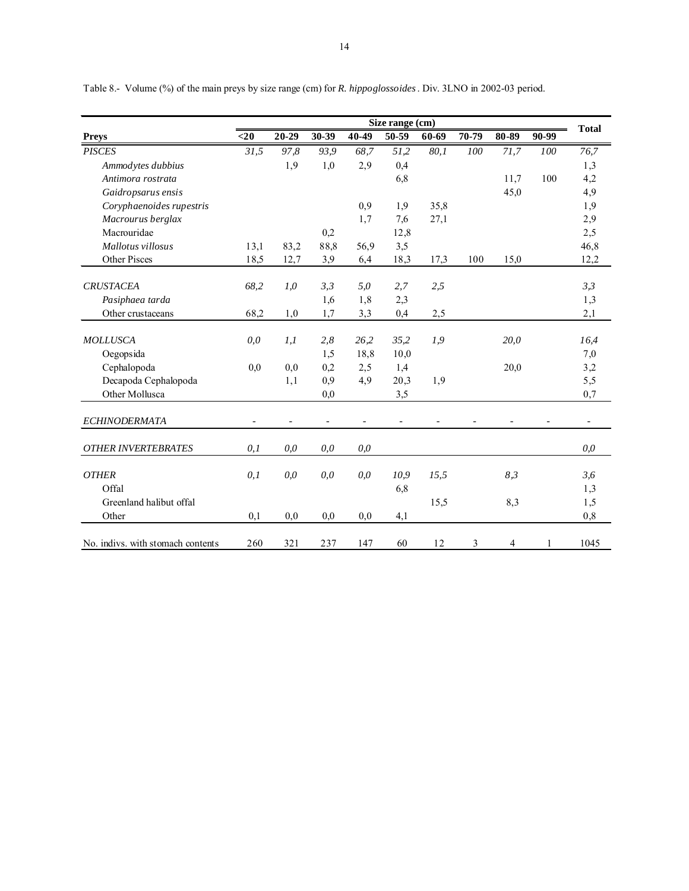|                                   | Size range (cm) |       |                          |       |                |       |       |       |       |                       |  |
|-----------------------------------|-----------------|-------|--------------------------|-------|----------------|-------|-------|-------|-------|-----------------------|--|
| <b>Preys</b>                      | $20$            | 20-29 | 30-39                    | 40-49 | 50-59          | 60-69 | 70-79 | 80-89 | 90-99 | <b>Total</b>          |  |
| <b>PISCES</b>                     | 31,5            | 97,8  | 93,9                     | 68,7  | 51,2           | 80,1  | 100   | 71,7  | 100   | 76,7                  |  |
| Ammodytes dubbius                 |                 | 1,9   | 1,0                      | 2,9   | 0,4            |       |       |       |       | 1,3                   |  |
| Antimora rostrata                 |                 |       |                          |       | 6,8            |       |       | 11,7  | 100   | 4,2                   |  |
| Gaidropsarus ensis                |                 |       |                          |       |                |       |       | 45,0  |       | 4,9                   |  |
| Coryphaenoides rupestris          |                 |       |                          | 0,9   | 1,9            | 35,8  |       |       |       | 1,9                   |  |
| Macrourus berglax                 |                 |       |                          | 1,7   | 7,6            | 27,1  |       |       |       | 2,9                   |  |
| Macrouridae                       |                 |       | 0,2                      |       | 12,8           |       |       |       |       | 2,5                   |  |
| Mallotus villosus                 | 13,1            | 83,2  | 88,8                     | 56,9  | 3,5            |       |       |       |       | 46,8                  |  |
| <b>Other Pisces</b>               | 18,5            | 12,7  | 3,9                      | 6,4   | 18,3           | 17,3  | 100   | 15,0  |       | 12,2                  |  |
| <b>CRUSTACEA</b>                  | 68,2            | 1,0   | 3,3                      | 5,0   | 2,7            | 2,5   |       |       |       | 3,3                   |  |
| Pasiphaea tarda                   |                 |       | 1,6                      | 1,8   | 2,3            |       |       |       |       | 1,3                   |  |
| Other crustaceans                 | 68,2            | 1,0   | 1,7                      | 3,3   | 0,4            | 2,5   |       |       |       | 2,1                   |  |
|                                   |                 |       |                          |       |                |       |       |       |       |                       |  |
| <b>MOLLUSCA</b>                   | 0,0             | 1,1   | 2,8                      | 26,2  | 35,2           | 1,9   |       | 20.0  |       | 16,4                  |  |
| Oegopsida                         |                 |       | 1,5                      | 18,8  | 10,0           |       |       |       |       | 7,0                   |  |
| Cephalopoda                       | 0.0             | 0.0   | 0,2                      | 2,5   | 1,4            |       |       | 20,0  |       | 3,2                   |  |
| Decapoda Cephalopoda              |                 | 1,1   | 0,9                      | 4,9   | 20,3           | 1,9   |       |       |       | 5,5                   |  |
| Other Mollusca                    |                 |       | 0,0                      |       | 3,5            |       |       |       |       | 0,7                   |  |
| <b>ECHINODERMATA</b>              |                 |       | $\overline{\phantom{a}}$ |       | $\overline{a}$ |       |       |       |       | $\tilde{\phantom{a}}$ |  |
| <b>OTHER INVERTEBRATES</b>        | 0,1             | 0,0   | 0,0                      | 0,0   |                |       |       |       |       | 0,0                   |  |
| <b>OTHER</b>                      |                 |       |                          |       |                |       |       |       |       |                       |  |
| Offal                             | 0,1             | 0,0   | 0,0                      | 0,0   | 10,9           | 15,5  |       | 8,3   |       | 3,6                   |  |
|                                   |                 |       |                          |       | 6,8            |       |       |       |       | 1,3                   |  |
| Greenland halibut offal           |                 |       |                          |       |                | 15,5  |       | 8,3   |       | 1,5                   |  |
| Other                             | 0,1             | 0,0   | 0,0                      | 0,0   | 4,1            |       |       |       |       | 0,8                   |  |
| No. indivs. with stomach contents | 260             | 321   | 237                      | 147   | 60             | 12    | 3     | 4     | 1     | 1045                  |  |

Table 8.- Volume (%) of the main preys by size range (cm) for *R. hippoglossoides*. Div. 3LNO in 2002-03 period.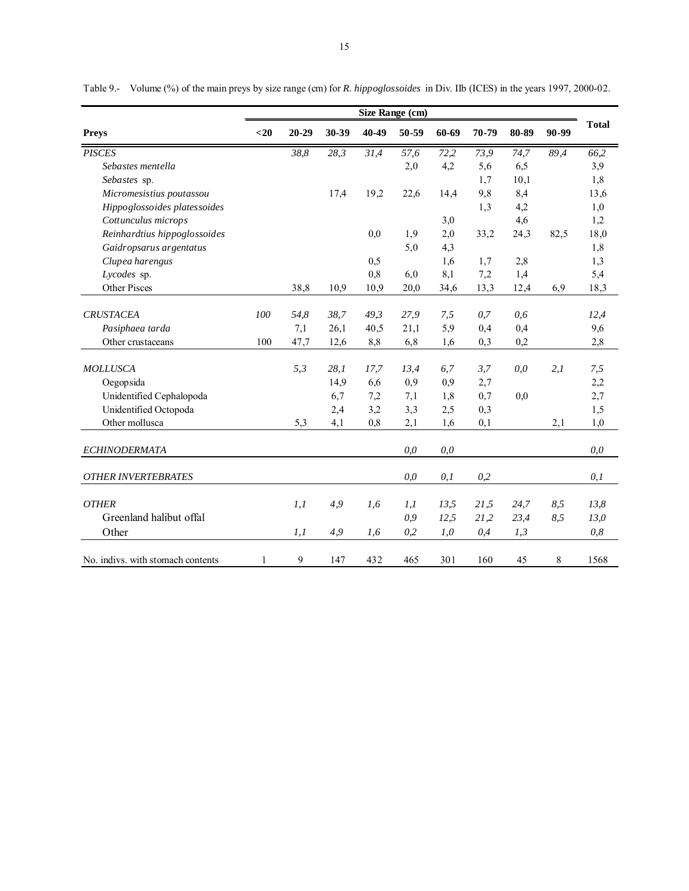|                                   | Size Range (cm) |           |       |       |       |       |       |       |       |              |  |
|-----------------------------------|-----------------|-----------|-------|-------|-------|-------|-------|-------|-------|--------------|--|
| <b>Preys</b>                      | $20$            | $20 - 29$ | 30-39 | 40-49 | 50-59 | 60-69 | 70-79 | 80-89 | 90-99 | <b>Total</b> |  |
| <b>PISCES</b>                     |                 | 38,8      | 28,3  | 31,4  | 57,6  | 72,2  | 73,9  | 74,7  | 89,4  | 66,2         |  |
| Sebastes mentella                 |                 |           |       |       | 2,0   | 4,2   | 5,6   | 6,5   |       | 3,9          |  |
| Sebastes sp.                      |                 |           |       |       |       |       | 1,7   | 10,1  |       | 1,8          |  |
| Micromesistius poutassou          |                 |           | 17,4  | 19,2  | 22,6  | 14,4  | 9,8   | 8,4   |       | 13,6         |  |
| Hippoglossoides platessoides      |                 |           |       |       |       |       | 1,3   | 4,2   |       | 1,0          |  |
| Cottunculus microps               |                 |           |       |       |       | 3,0   |       | 4,6   |       | 1,2          |  |
| Reinhardtius hippoglossoides      |                 |           |       | 0,0   | 1,9   | 2,0   | 33,2  | 24,3  | 82,5  | 18,0         |  |
| Gaidropsarus argentatus           |                 |           |       |       | 5,0   | 4,3   |       |       |       | 1,8          |  |
| Clupea harengus                   |                 |           |       | 0,5   |       | 1,6   | 1,7   | 2,8   |       | 1,3          |  |
| Lycodes sp.                       |                 |           |       | 0,8   | 6,0   | 8,1   | 7,2   | 1,4   |       | 5,4          |  |
| Other Pisces                      |                 | 38,8      | 10,9  | 10,9  | 20,0  | 34,6  | 13,3  | 12,4  | 6,9   | 18,3         |  |
| <b>CRUSTACEA</b>                  | 100             | 54,8      | 38.7  | 49.3  | 27,9  | 7,5   | 0,7   | 0,6   |       | 12,4         |  |
| Pasiphaea tarda                   |                 | 7,1       | 26,1  | 40,5  | 21,1  | 5,9   | 0,4   | 0,4   |       | 9,6          |  |
| Other crustaceans                 | 100             | 47,7      | 12,6  | 8,8   | 6,8   | 1,6   | 0,3   | 0,2   |       | 2,8          |  |
|                                   |                 |           |       |       |       |       |       |       |       |              |  |
| <b>MOLLUSCA</b>                   |                 | 5,3       | 28,1  | 17,7  | 13,4  | 6,7   | 3,7   | 0,0   | 2,1   | 7,5          |  |
| Oegopsida                         |                 |           | 14,9  | 6,6   | 0,9   | 0,9   | 2,7   |       |       | 2,2          |  |
| Unidentified Cephalopoda          |                 |           | 6,7   | 7,2   | 7,1   | 1,8   | 0,7   | 0,0   |       | 2,7          |  |
| Unidentified Octopoda             |                 |           | 2,4   | 3,2   | 3,3   | 2,5   | 0,3   |       |       | 1,5          |  |
| Other mollusca                    |                 | 5,3       | 4,1   | 0,8   | 2,1   | 1,6   | 0,1   |       | 2,1   | 1,0          |  |
| <b>ECHINODERMATA</b>              |                 |           |       |       | 0,0   | 0,0   |       |       |       | 0,0          |  |
| <b>OTHER INVERTEBRATES</b>        |                 |           |       |       | 0,0   | 0,1   | 0,2   |       |       | 0,1          |  |
|                                   |                 |           |       |       |       |       |       |       |       |              |  |
| <b>OTHER</b>                      |                 | l, l      | 4,9   | 1,6   | l, l  | 13,5  | 21,5  | 24,7  | 8,5   | 13,8         |  |
| Greenland halibut offal           |                 |           |       |       | 0,9   | 12,5  | 21,2  | 23,4  | 8,5   | 13,0         |  |
| Other                             |                 | l, l      | 4,9   | 1,6   | 0,2   | 1,0   | 0,4   | 1,3   |       | 0,8          |  |
| No. indivs. with stomach contents | $\mathbf{1}$    | 9         | 147   | 432   | 465   | 301   | 160   | 45    | 8     | 1568         |  |

Table 9.- Volume (%) of the main preys by size range (cm) for *R. hippoglossoides* in Div. IIb (ICES) in the years 1997, 2000-02.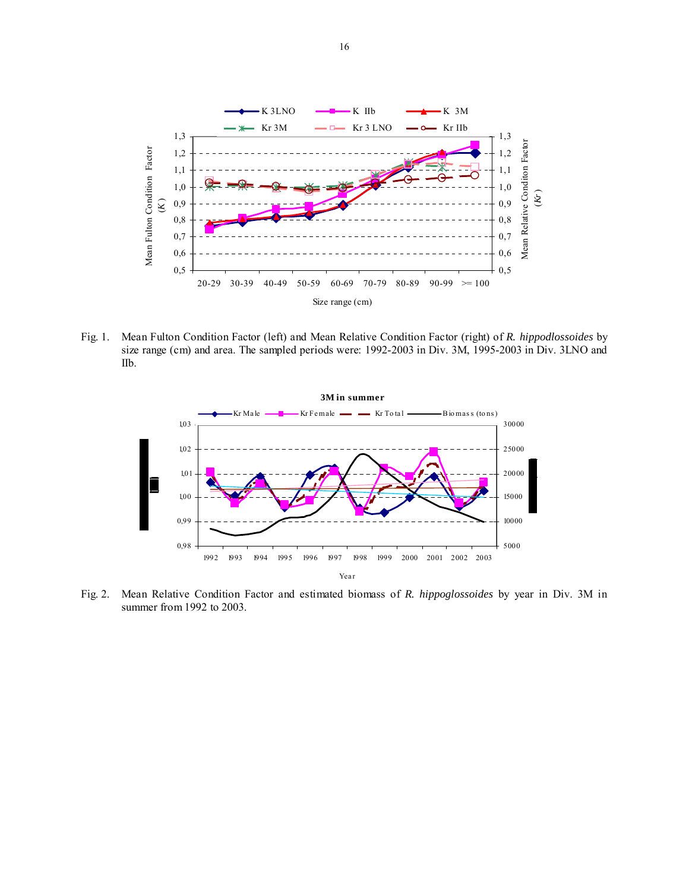

Fig. 1. Mean Fulton Condition Factor (left) and Mean Relative Condition Factor (right) of *R. hippodlossoides* by size range (cm) and area. The sampled periods were: 1992-2003 in Div. 3M, 1995-2003 in Div. 3LNO and IIb.



Fig. 2. Mean Relative Condition Factor and estimated biomass of *R. hippoglossoides* by year in Div. 3M in summer from 1992 to 2003.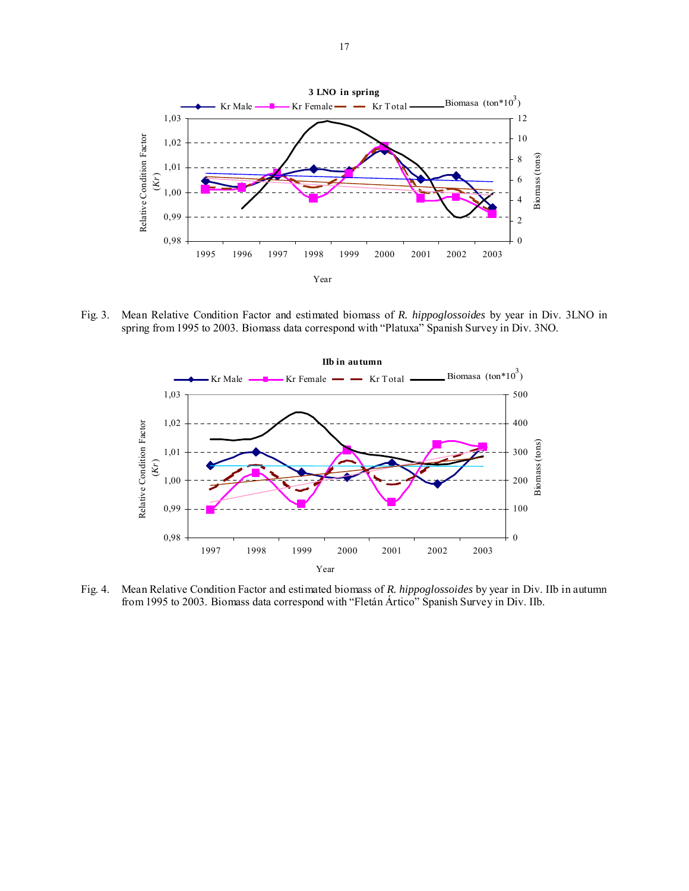

Fig. 3. Mean Relative Condition Factor and estimated biomass of *R. hippoglossoides* by year in Div. 3LNO in spring from 1995 to 2003. Biomass data correspond with "Platuxa" Spanish Survey in Div. 3NO.



Fig. 4. Mean Relative Condition Factor and estimated biomass of *R. hippoglossoides* by year in Div. IIb in autumn from 1995 to 2003. Biomass data correspond with "Fletán Ártico" Spanish Survey in Div. IIb.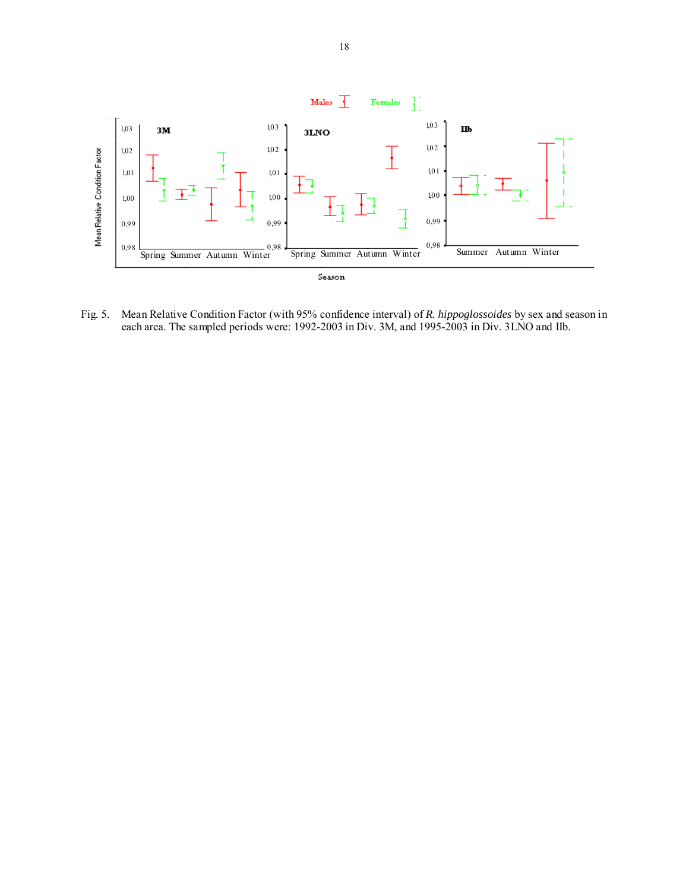

Fig. 5. Mean Relative Condition Factor (with 95% confidence interval) of *R. hippoglossoides* by sex and season in each area. The sampled periods were: 1992-2003 in Div. 3M, and 1995-2003 in Div. 3LNO and IIb.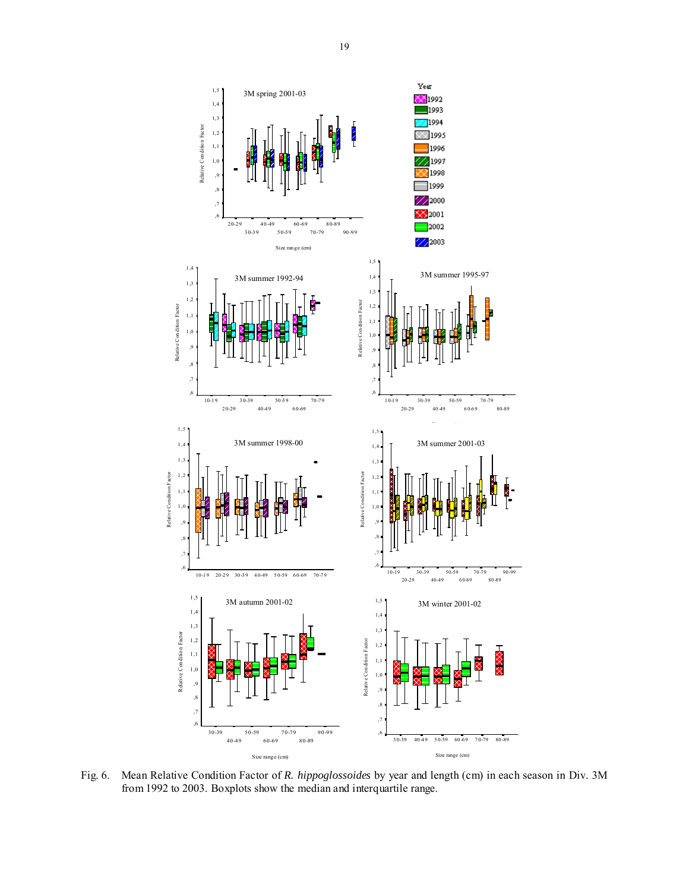

Fig. 6. Mean Relative Condition Factor of *R. hippoglossoides* by year and length (cm) in each season in Div. 3M from 1992 to 2003. Boxplots show the median and interquartile range.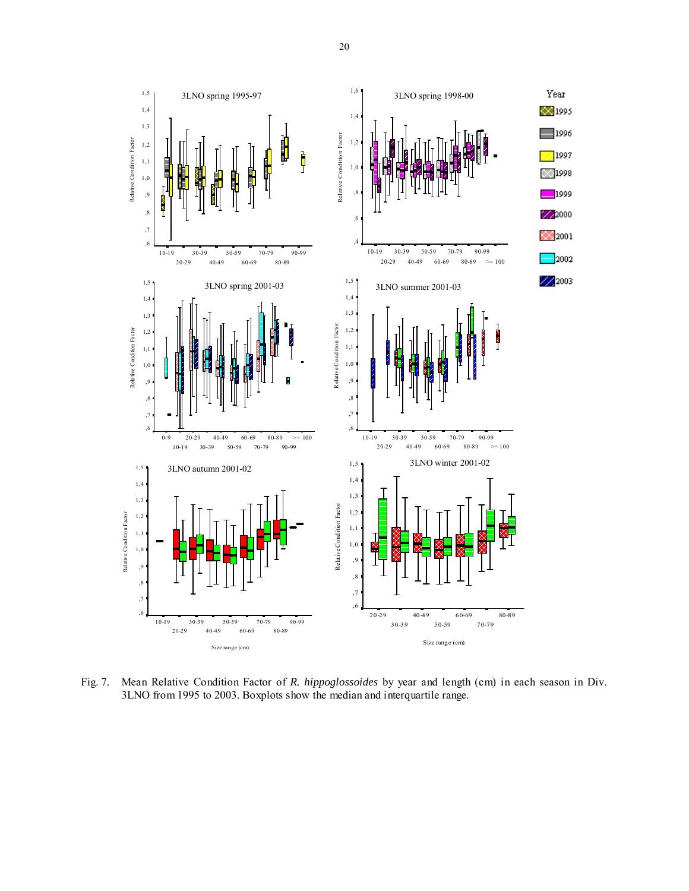

Fig. 7. Mean Relative Condition Factor of *R. hippoglossoides* by year and length (cm) in each season in Div. 3LNO from 1995 to 2003. Boxplots show the median and interquartile range.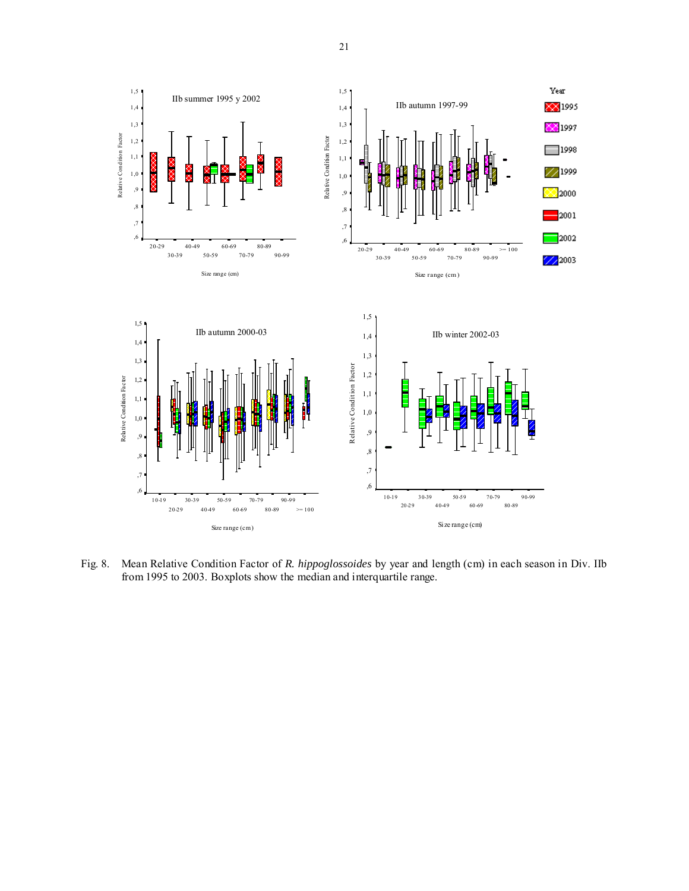

Fig. 8. Mean Relative Condition Factor of *R. hippoglossoides* by year and length (cm) in each season in Div. IIb from 1995 to 2003. Boxplots show the median and interquartile range.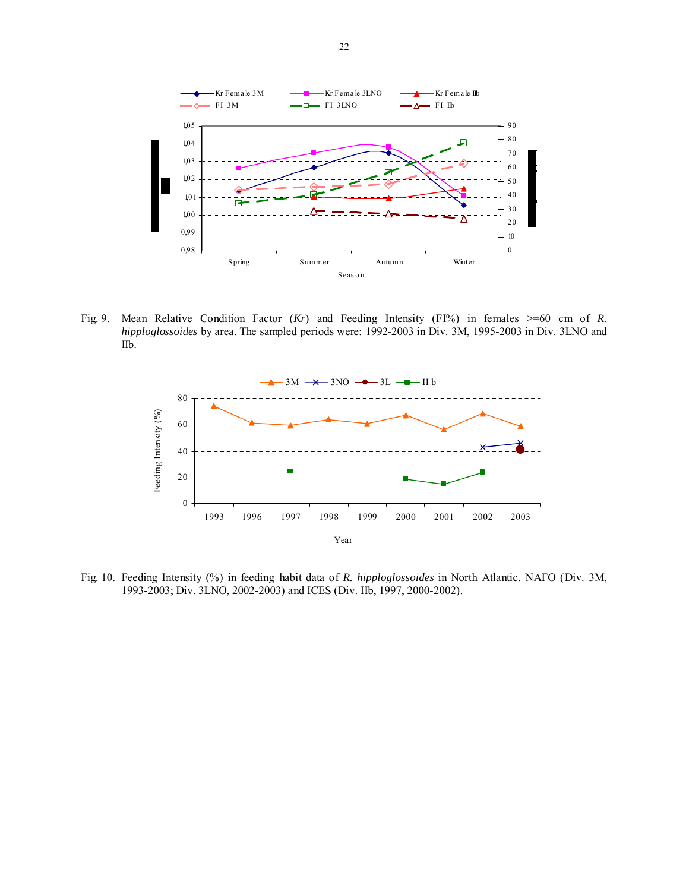

Fig. 9. Mean Relative Condition Factor (*Kr*) and Feeding Intensity (FI%) in females >=60 cm of *R. hipploglossoides* by area. The sampled periods were: 1992-2003 in Div. 3M, 1995-2003 in Div. 3LNO and IIb.



Fig. 10. Feeding Intensity (%) in feeding habit data of *R. hipploglossoides* in North Atlantic. NAFO (Div. 3M, 1993-2003; Div. 3LNO, 2002-2003) and ICES (Div. IIb, 1997, 2000-2002).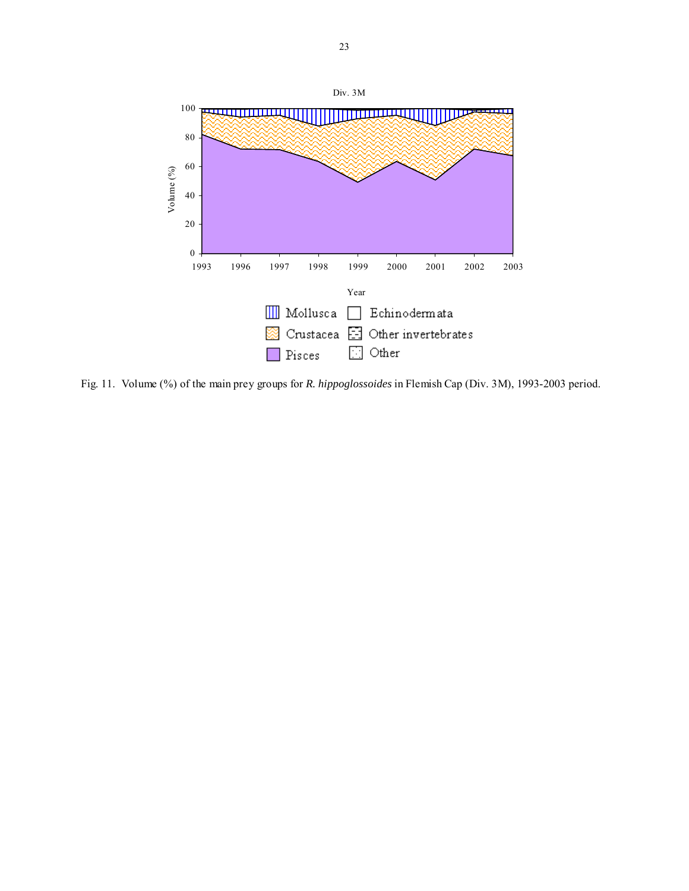

Fig. 11. Volume (%) of the main prey groups for *R. hippoglossoides* in Flemish Cap (Div. 3M), 1993-2003 period.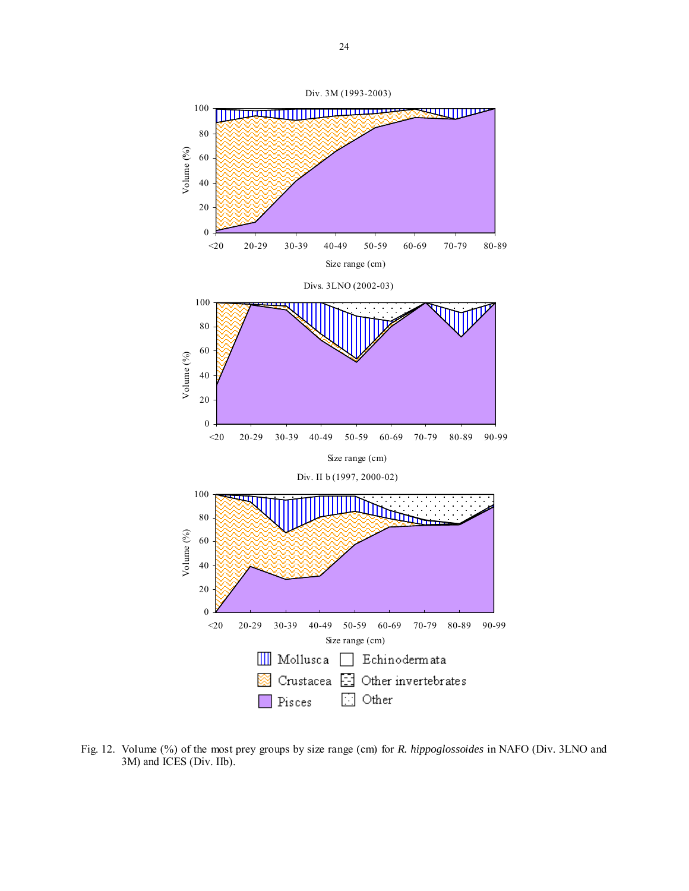

Fig. 12. Volume (%) of the most prey groups by size range (cm) for *R. hippoglossoides* in NAFO (Div. 3LNO and 3M) and ICES (Div. IIb).